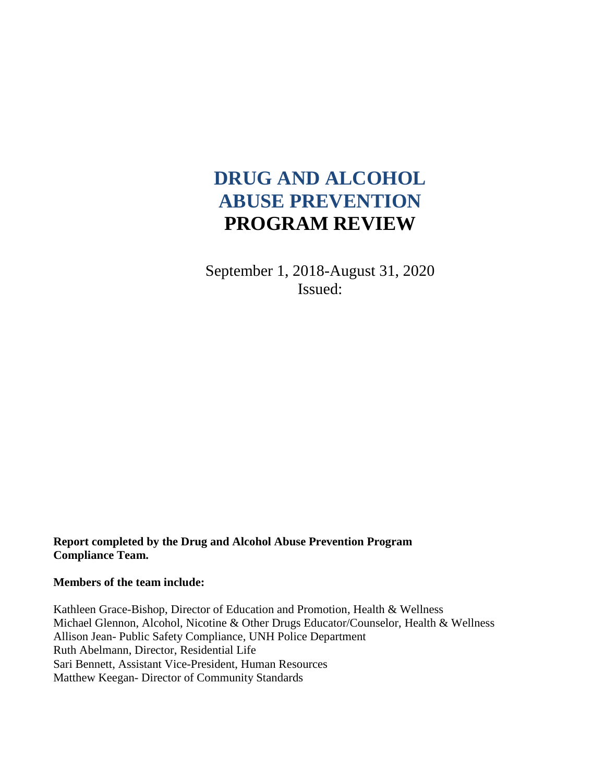# **DRUG AND ALCOHOL ABUSE PREVENTION PROGRAM REVIEW**

September 1, 2018-August 31, 2020 Issued:

**Report completed by the Drug and Alcohol Abuse Prevention Program Compliance Team.**

**Members of the team include:**

Kathleen Grace-Bishop, Director of Education and Promotion, Health & Wellness Michael Glennon, Alcohol, Nicotine & Other Drugs Educator/Counselor, Health & Wellness Allison Jean- Public Safety Compliance, UNH Police Department Ruth Abelmann, Director, Residential Life Sari Bennett, Assistant Vice-President, Human Resources Matthew Keegan- Director of Community Standards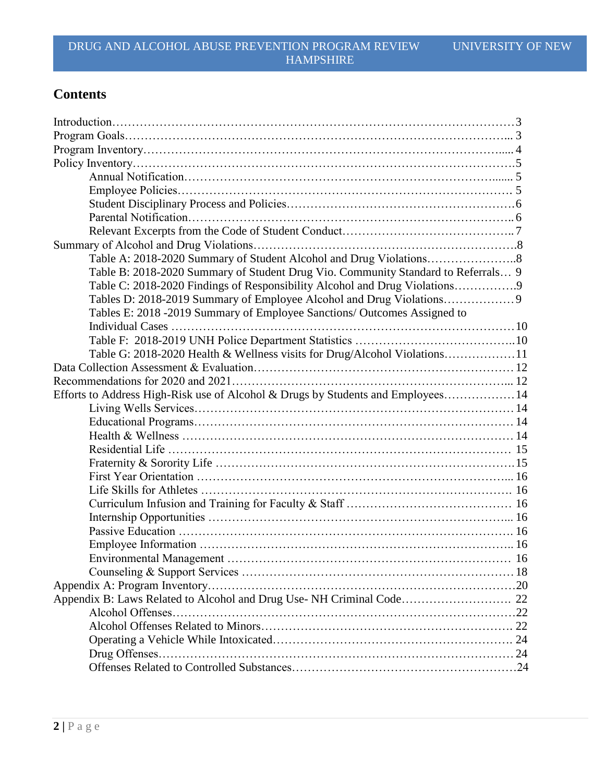# **Contents**

| Table B: 2018-2020 Summary of Student Drug Vio. Community Standard to Referrals 9 |  |
|-----------------------------------------------------------------------------------|--|
| Table C: 2018-2020 Findings of Responsibility Alcohol and Drug Violations9        |  |
|                                                                                   |  |
| Tables E: 2018 -2019 Summary of Employee Sanctions/ Outcomes Assigned to          |  |
|                                                                                   |  |
|                                                                                   |  |
| Table G: 2018-2020 Health & Wellness visits for Drug/Alcohol Violations11         |  |
|                                                                                   |  |
|                                                                                   |  |
| Efforts to Address High-Risk use of Alcohol & Drugs by Students and Employees 14  |  |
|                                                                                   |  |
|                                                                                   |  |
|                                                                                   |  |
|                                                                                   |  |
|                                                                                   |  |
|                                                                                   |  |
|                                                                                   |  |
|                                                                                   |  |
|                                                                                   |  |
|                                                                                   |  |
|                                                                                   |  |
|                                                                                   |  |
|                                                                                   |  |
|                                                                                   |  |
| Appendix B: Laws Related to Alcohol and Drug Use-NH Criminal Code 22              |  |
|                                                                                   |  |
|                                                                                   |  |
|                                                                                   |  |
|                                                                                   |  |
|                                                                                   |  |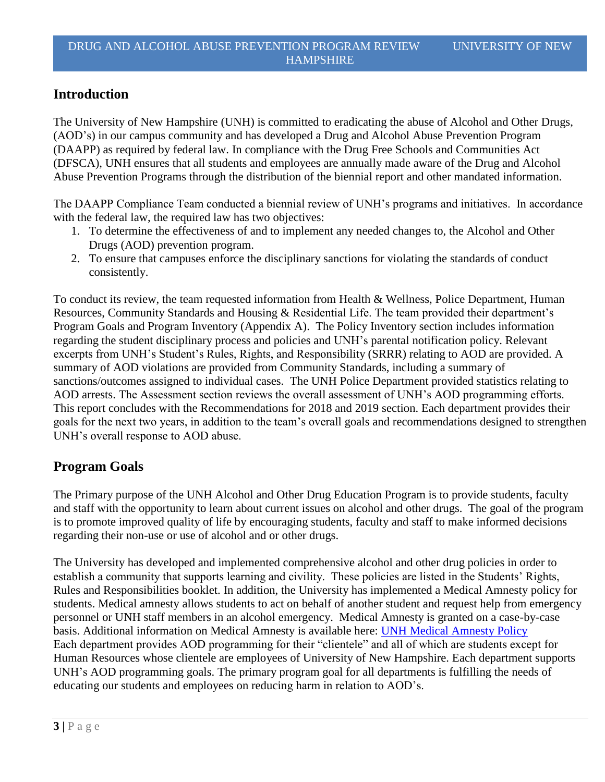# **Introduction**

The University of New Hampshire (UNH) is committed to eradicating the abuse of Alcohol and Other Drugs, (AOD's) in our campus community and has developed a Drug and Alcohol Abuse Prevention Program (DAAPP) as required by federal law. In compliance with the Drug Free Schools and Communities Act (DFSCA), UNH ensures that all students and employees are annually made aware of the Drug and Alcohol Abuse Prevention Programs through the distribution of the biennial report and other mandated information.

The DAAPP Compliance Team conducted a biennial review of UNH's programs and initiatives. In accordance with the federal law, the required law has two objectives:

- 1. To determine the effectiveness of and to implement any needed changes to, the Alcohol and Other Drugs (AOD) prevention program.
- 2. To ensure that campuses enforce the disciplinary sanctions for violating the standards of conduct consistently.

To conduct its review, the team requested information from Health & Wellness, Police Department, Human Resources, Community Standards and Housing & Residential Life. The team provided their department's Program Goals and Program Inventory (Appendix A). The Policy Inventory section includes information regarding the student disciplinary process and policies and UNH's parental notification policy. Relevant excerpts from UNH's Student's Rules, Rights, and Responsibility (SRRR) relating to AOD are provided. A summary of AOD violations are provided from Community Standards, including a summary of sanctions/outcomes assigned to individual cases. The UNH Police Department provided statistics relating to AOD arrests. The Assessment section reviews the overall assessment of UNH's AOD programming efforts. This report concludes with the Recommendations for 2018 and 2019 section. Each department provides their goals for the next two years, in addition to the team's overall goals and recommendations designed to strengthen UNH's overall response to AOD abuse.

# **Program Goals**

The Primary purpose of the UNH Alcohol and Other Drug Education Program is to provide students, faculty and staff with the opportunity to learn about current issues on alcohol and other drugs. The goal of the program is to promote improved quality of life by encouraging students, faculty and staff to make informed decisions regarding their non-use or use of alcohol and or other drugs.

The University has developed and implemented comprehensive alcohol and other drug policies in order to establish a community that supports learning and civility. These policies are listed in the Students' Rights, Rules and Responsibilities booklet. In addition, the University has implemented a Medical Amnesty policy for students. Medical amnesty allows students to act on behalf of another student and request help from emergency personnel or UNH staff members in an alcohol emergency. Medical Amnesty is granted on a case-by-case basis. Additional information on Medical Amnesty is available here: [UNH Medical Amnesty Policy](https://www.unh.edu/ocs/medical-amnesty) Each department provides AOD programming for their "clientele" and all of which are students except for Human Resources whose clientele are employees of University of New Hampshire. Each department supports UNH's AOD programming goals. The primary program goal for all departments is fulfilling the needs of educating our students and employees on reducing harm in relation to AOD's.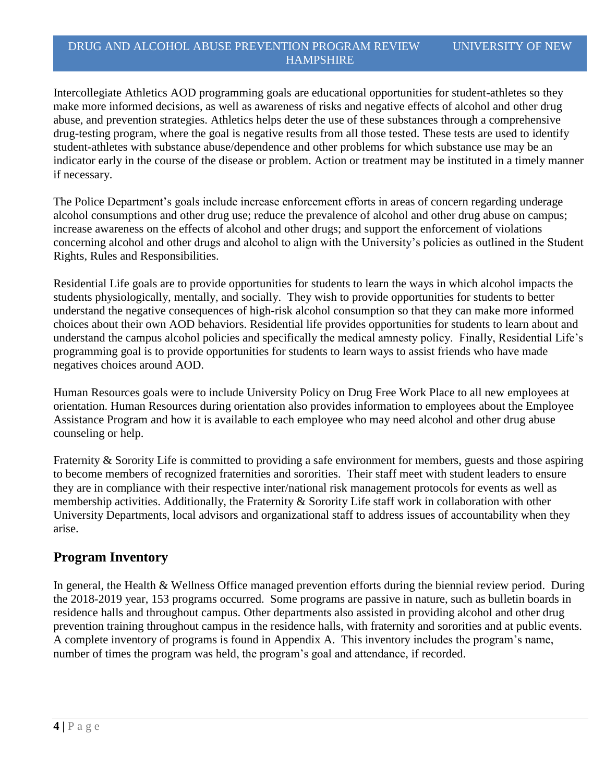Intercollegiate Athletics AOD programming goals are educational opportunities for student-athletes so they make more informed decisions, as well as awareness of risks and negative effects of alcohol and other drug abuse, and prevention strategies. Athletics helps deter the use of these substances through a comprehensive drug-testing program, where the goal is negative results from all those tested. These tests are used to identify student-athletes with substance abuse/dependence and other problems for which substance use may be an indicator early in the course of the disease or problem. Action or treatment may be instituted in a timely manner if necessary.

The Police Department's goals include increase enforcement efforts in areas of concern regarding underage alcohol consumptions and other drug use; reduce the prevalence of alcohol and other drug abuse on campus; increase awareness on the effects of alcohol and other drugs; and support the enforcement of violations concerning alcohol and other drugs and alcohol to align with the University's policies as outlined in the Student Rights, Rules and Responsibilities.

Residential Life goals are to provide opportunities for students to learn the ways in which alcohol impacts the students physiologically, mentally, and socially. They wish to provide opportunities for students to better understand the negative consequences of high-risk alcohol consumption so that they can make more informed choices about their own AOD behaviors. Residential life provides opportunities for students to learn about and understand the campus alcohol policies and specifically the medical amnesty policy. Finally, Residential Life's programming goal is to provide opportunities for students to learn ways to assist friends who have made negatives choices around AOD.

Human Resources goals were to include University Policy on Drug Free Work Place to all new employees at orientation. Human Resources during orientation also provides information to employees about the Employee Assistance Program and how it is available to each employee who may need alcohol and other drug abuse counseling or help.

Fraternity & Sorority Life is committed to providing a safe environment for members, guests and those aspiring to become members of recognized fraternities and sororities. Their staff meet with student leaders to ensure they are in compliance with their respective inter/national risk management protocols for events as well as membership activities. Additionally, the Fraternity & Sorority Life staff work in collaboration with other University Departments, local advisors and organizational staff to address issues of accountability when they arise.

# **Program Inventory**

In general, the Health & Wellness Office managed prevention efforts during the biennial review period. During the 2018-2019 year, 153 programs occurred. Some programs are passive in nature, such as bulletin boards in residence halls and throughout campus. Other departments also assisted in providing alcohol and other drug prevention training throughout campus in the residence halls, with fraternity and sororities and at public events. A complete inventory of programs is found in Appendix A. This inventory includes the program's name, number of times the program was held, the program's goal and attendance, if recorded.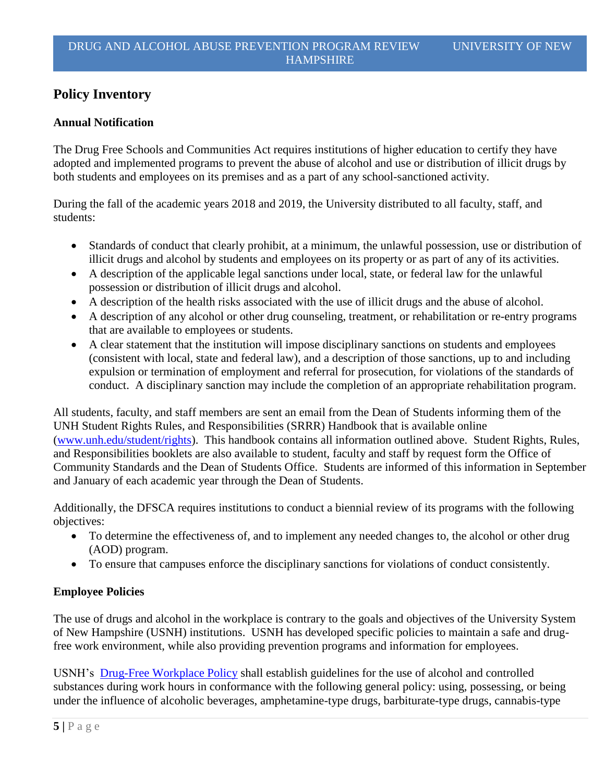# **Policy Inventory**

#### **Annual Notification**

The Drug Free Schools and Communities Act requires institutions of higher education to certify they have adopted and implemented programs to prevent the abuse of alcohol and use or distribution of illicit drugs by both students and employees on its premises and as a part of any school-sanctioned activity.

During the fall of the academic years 2018 and 2019, the University distributed to all faculty, staff, and students:

- Standards of conduct that clearly prohibit, at a minimum, the unlawful possession, use or distribution of illicit drugs and alcohol by students and employees on its property or as part of any of its activities.
- A description of the applicable legal sanctions under local, state, or federal law for the unlawful possession or distribution of illicit drugs and alcohol.
- A description of the health risks associated with the use of illicit drugs and the abuse of alcohol.
- A description of any alcohol or other drug counseling, treatment, or rehabilitation or re-entry programs that are available to employees or students.
- A clear statement that the institution will impose disciplinary sanctions on students and employees (consistent with local, state and federal law), and a description of those sanctions, up to and including expulsion or termination of employment and referral for prosecution, for violations of the standards of conduct. A disciplinary sanction may include the completion of an appropriate rehabilitation program.

All students, faculty, and staff members are sent an email from the Dean of Students informing them of the UNH Student Rights Rules, and Responsibilities (SRRR) Handbook that is available online [\(www.unh.edu/student/rights\)](http://www.unh.edu/student/rights). This handbook contains all information outlined above. Student Rights, Rules, and Responsibilities booklets are also available to student, faculty and staff by request form the Office of Community Standards and the Dean of Students Office. Students are informed of this information in September and January of each academic year through the Dean of Students.

Additionally, the DFSCA requires institutions to conduct a biennial review of its programs with the following objectives:

- To determine the effectiveness of, and to implement any needed changes to, the alcohol or other drug (AOD) program.
- To ensure that campuses enforce the disciplinary sanctions for violations of conduct consistently.

# **Employee Policies**

The use of drugs and alcohol in the workplace is contrary to the goals and objectives of the University System of New Hampshire (USNH) institutions. USNH has developed specific policies to maintain a safe and drugfree work environment, while also providing prevention programs and information for employees.

USNH's [Drug-Free Workplace Policy](https://www.usnh.edu/policy/usy/v-personnel-policies/d-employee-relations) shall establish guidelines for the use of alcohol and controlled substances during work hours in conformance with the following general policy: using, possessing, or being under the influence of alcoholic beverages, amphetamine-type drugs, barbiturate-type drugs, cannabis-type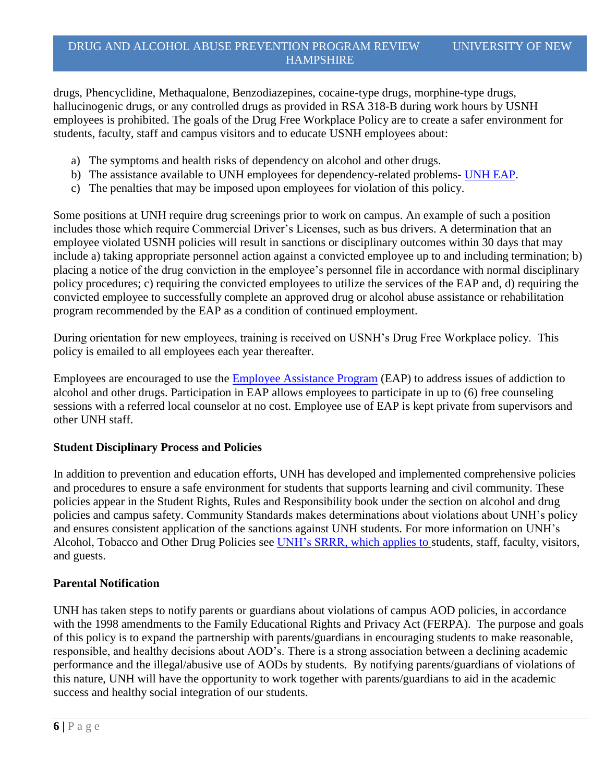drugs, Phencyclidine, Methaqualone, Benzodiazepines, cocaine-type drugs, morphine-type drugs, hallucinogenic drugs, or any controlled drugs as provided in RSA 318-B during work hours by USNH employees is prohibited. The goals of the Drug Free Workplace Policy are to create a safer environment for students, faculty, staff and campus visitors and to educate USNH employees about:

- a) The symptoms and health risks of dependency on alcohol and other drugs.
- b) The assistance available to UNH employees for dependency-related problems- [UNH EAP.](http://www.unh.edu/hr/employee-assistance-program)
- c) The penalties that may be imposed upon employees for violation of this policy.

Some positions at UNH require drug screenings prior to work on campus. An example of such a position includes those which require Commercial Driver's Licenses, such as bus drivers. A determination that an employee violated USNH policies will result in sanctions or disciplinary outcomes within 30 days that may include a) taking appropriate personnel action against a convicted employee up to and including termination; b) placing a notice of the drug conviction in the employee's personnel file in accordance with normal disciplinary policy procedures; c) requiring the convicted employees to utilize the services of the EAP and, d) requiring the convicted employee to successfully complete an approved drug or alcohol abuse assistance or rehabilitation program recommended by the EAP as a condition of continued employment.

During orientation for new employees, training is received on USNH's Drug Free Workplace policy. This policy is emailed to all employees each year thereafter.

Employees are encouraged to use the **Employee Assistance Program** (EAP) to address issues of addiction to alcohol and other drugs. Participation in EAP allows employees to participate in up to (6) free counseling sessions with a referred local counselor at no cost. Employee use of EAP is kept private from supervisors and other UNH staff.

#### **Student Disciplinary Process and Policies**

In addition to prevention and education efforts, UNH has developed and implemented comprehensive policies and procedures to ensure a safe environment for students that supports learning and civil community. These policies appear in the Student Rights, Rules and Responsibility book under the section on alcohol and drug policies and campus safety. Community Standards makes determinations about violations about UNH's policy and ensures consistent application of the sanctions against UNH students. For more information on UNH's Alcohol, Tobacco and Other Drug Policies see [UNH's SRRR,](https://www.unh.edu/student-life/student-rights-rules-responsibilities) which applies to students, staff, faculty, visitors, and guests.

#### **Parental Notification**

UNH has taken steps to notify parents or guardians about violations of campus AOD policies, in accordance with the 1998 amendments to the Family Educational Rights and Privacy Act (FERPA). The purpose and goals of this policy is to expand the partnership with parents/guardians in encouraging students to make reasonable, responsible, and healthy decisions about AOD's. There is a strong association between a declining academic performance and the illegal/abusive use of AODs by students. By notifying parents/guardians of violations of this nature, UNH will have the opportunity to work together with parents/guardians to aid in the academic success and healthy social integration of our students.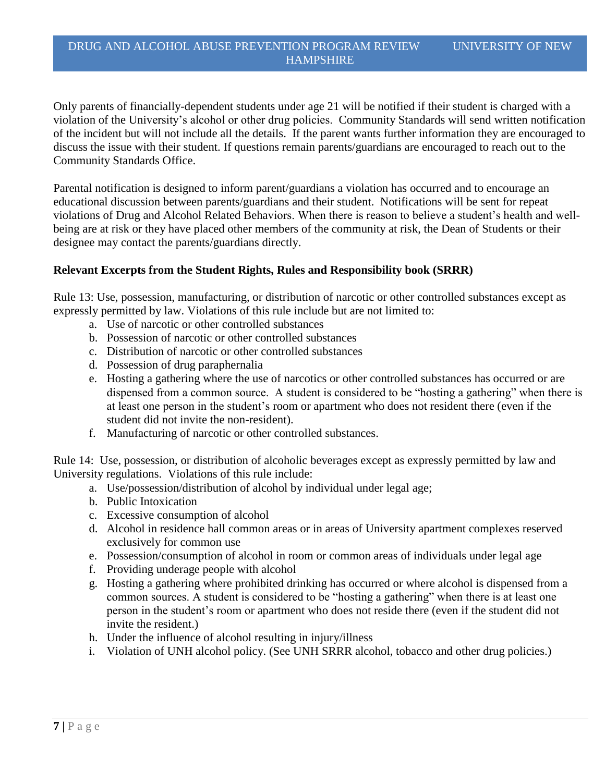Only parents of financially-dependent students under age 21 will be notified if their student is charged with a violation of the University's alcohol or other drug policies. Community Standards will send written notification of the incident but will not include all the details. If the parent wants further information they are encouraged to discuss the issue with their student. If questions remain parents/guardians are encouraged to reach out to the Community Standards Office.

Parental notification is designed to inform parent/guardians a violation has occurred and to encourage an educational discussion between parents/guardians and their student. Notifications will be sent for repeat violations of Drug and Alcohol Related Behaviors. When there is reason to believe a student's health and wellbeing are at risk or they have placed other members of the community at risk, the Dean of Students or their designee may contact the parents/guardians directly.

#### **Relevant Excerpts from the Student Rights, Rules and Responsibility book (SRRR)**

Rule 13: Use, possession, manufacturing, or distribution of narcotic or other controlled substances except as expressly permitted by law. Violations of this rule include but are not limited to:

- a. Use of narcotic or other controlled substances
- b. Possession of narcotic or other controlled substances
- c. Distribution of narcotic or other controlled substances
- d. Possession of drug paraphernalia
- e. Hosting a gathering where the use of narcotics or other controlled substances has occurred or are dispensed from a common source. A student is considered to be "hosting a gathering" when there is at least one person in the student's room or apartment who does not resident there (even if the student did not invite the non-resident).
- f. Manufacturing of narcotic or other controlled substances.

Rule 14: Use, possession, or distribution of alcoholic beverages except as expressly permitted by law and University regulations. Violations of this rule include:

- a. Use/possession/distribution of alcohol by individual under legal age;
- b. Public Intoxication
- c. Excessive consumption of alcohol
- d. Alcohol in residence hall common areas or in areas of University apartment complexes reserved exclusively for common use
- e. Possession/consumption of alcohol in room or common areas of individuals under legal age
- f. Providing underage people with alcohol
- g. Hosting a gathering where prohibited drinking has occurred or where alcohol is dispensed from a common sources. A student is considered to be "hosting a gathering" when there is at least one person in the student's room or apartment who does not reside there (even if the student did not invite the resident.)
- h. Under the influence of alcohol resulting in injury/illness
- i. Violation of UNH alcohol policy. (See UNH SRRR alcohol, tobacco and other drug policies.)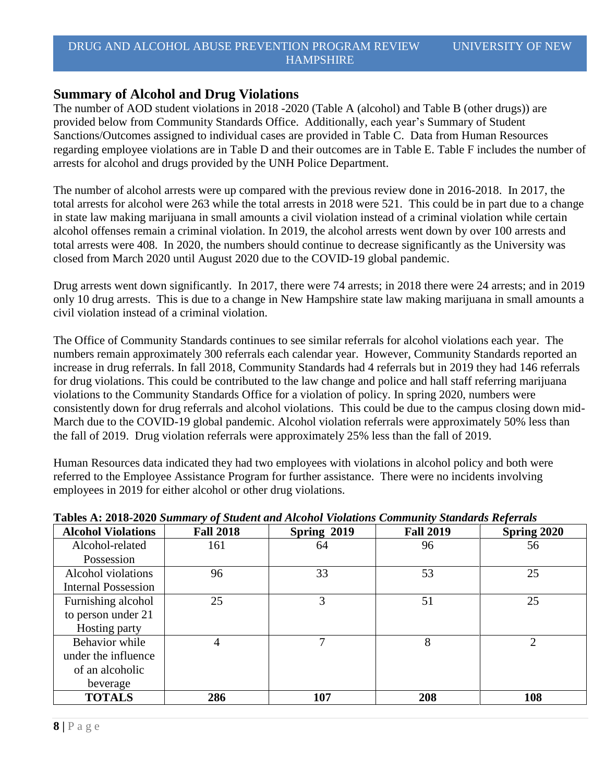# **Summary of Alcohol and Drug Violations**

The number of AOD student violations in 2018 -2020 (Table A (alcohol) and Table B (other drugs)) are provided below from Community Standards Office. Additionally, each year's Summary of Student Sanctions/Outcomes assigned to individual cases are provided in Table C. Data from Human Resources regarding employee violations are in Table D and their outcomes are in Table E. Table F includes the number of arrests for alcohol and drugs provided by the UNH Police Department.

The number of alcohol arrests were up compared with the previous review done in 2016-2018. In 2017, the total arrests for alcohol were 263 while the total arrests in 2018 were 521. This could be in part due to a change in state law making marijuana in small amounts a civil violation instead of a criminal violation while certain alcohol offenses remain a criminal violation. In 2019, the alcohol arrests went down by over 100 arrests and total arrests were 408. In 2020, the numbers should continue to decrease significantly as the University was closed from March 2020 until August 2020 due to the COVID-19 global pandemic.

Drug arrests went down significantly. In 2017, there were 74 arrests; in 2018 there were 24 arrests; and in 2019 only 10 drug arrests. This is due to a change in New Hampshire state law making marijuana in small amounts a civil violation instead of a criminal violation.

The Office of Community Standards continues to see similar referrals for alcohol violations each year. The numbers remain approximately 300 referrals each calendar year. However, Community Standards reported an increase in drug referrals. In fall 2018, Community Standards had 4 referrals but in 2019 they had 146 referrals for drug violations. This could be contributed to the law change and police and hall staff referring marijuana violations to the Community Standards Office for a violation of policy. In spring 2020, numbers were consistently down for drug referrals and alcohol violations. This could be due to the campus closing down mid-March due to the COVID-19 global pandemic. Alcohol violation referrals were approximately 50% less than the fall of 2019. Drug violation referrals were approximately 25% less than the fall of 2019.

Human Resources data indicated they had two employees with violations in alcohol policy and both were referred to the Employee Assistance Program for further assistance. There were no incidents involving employees in 2019 for either alcohol or other drug violations.

| <b>Alcohol Violations</b>  | <b>Fall 2018</b> | Spring 2019 | <b>Fall 2019</b> | Spring 2020 |
|----------------------------|------------------|-------------|------------------|-------------|
| Alcohol-related            | 161              | 64          | 96               | 56          |
| Possession                 |                  |             |                  |             |
| Alcohol violations         | 96               | 33          | 53               | 25          |
| <b>Internal Possession</b> |                  |             |                  |             |
| Furnishing alcohol         | 25               | 3           | 51               | 25          |
| to person under 21         |                  |             |                  |             |
| Hosting party              |                  |             |                  |             |
| Behavior while             |                  |             | 8                |             |
| under the influence        |                  |             |                  |             |
| of an alcoholic            |                  |             |                  |             |
| beverage                   |                  |             |                  |             |
| <b>TOTALS</b>              | 286              | 107         | 208              | 108         |

#### **Tables A: 2018-2020** *Summary of Student and Alcohol Violations Community Standards Referrals*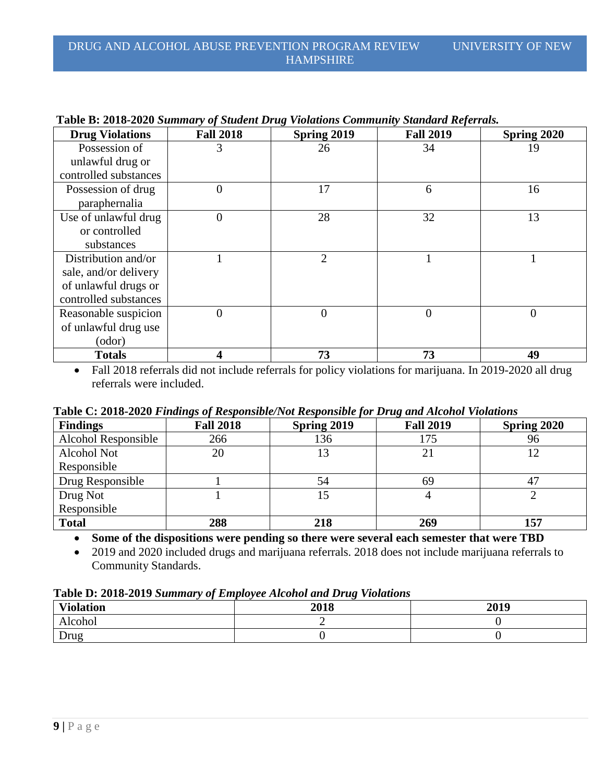| <b>Drug Violations</b> | <b>Fall 2018</b> | Spring 2019    | <b>Fall 2019</b> | Spring 2020 |
|------------------------|------------------|----------------|------------------|-------------|
| Possession of          | 3                | 26             | 34               | 19          |
| unlawful drug or       |                  |                |                  |             |
| controlled substances  |                  |                |                  |             |
| Possession of drug     | $\Omega$         | 17             | 6                | 16          |
| paraphernalia          |                  |                |                  |             |
| Use of unlawful drug   |                  | 28             | 32               | 13          |
| or controlled          |                  |                |                  |             |
| substances             |                  |                |                  |             |
| Distribution and/or    |                  | 2              |                  |             |
| sale, and/or delivery  |                  |                |                  |             |
| of unlawful drugs or   |                  |                |                  |             |
| controlled substances  |                  |                |                  |             |
| Reasonable suspicion   | $\theta$         | $\overline{0}$ | $\overline{0}$   | 0           |
| of unlawful drug use   |                  |                |                  |             |
| (odor)                 |                  |                |                  |             |
| <b>Totals</b>          |                  | 73             | 73               | 49          |

#### **Table B: 2018-2020** *Summary of Student Drug Violations Community Standard Referrals.*

• Fall 2018 referrals did not include referrals for policy violations for marijuana. In 2019-2020 all drug referrals were included.

#### **Table C: 2018-2020** *Findings of Responsible/Not Responsible for Drug and Alcohol Violations*

| <b>Findings</b>     | <b>Fall 2018</b> | Spring 2019 | <b>Fall 2019</b> | <b>Spring 2020</b> |
|---------------------|------------------|-------------|------------------|--------------------|
| Alcohol Responsible | 266              | 136         | 175              | 96                 |
| Alcohol Not         | 20               |             | 21               |                    |
| Responsible         |                  |             |                  |                    |
| Drug Responsible    |                  | 54          | 69               | 47                 |
| Drug Not            |                  |             |                  |                    |
| Responsible         |                  |             |                  |                    |
| <b>Total</b>        | 288              | 218         | 269              | 157                |

**Some of the dispositions were pending so there were several each semester that were TBD**

 2019 and 2020 included drugs and marijuana referrals. 2018 does not include marijuana referrals to Community Standards.

| Table D: 2018-2019 Summary of Employee Alcohol and Drug Violations |
|--------------------------------------------------------------------|
|--------------------------------------------------------------------|

| <b>Violation</b> | 2018 | 2019 |
|------------------|------|------|
| Alcohol          |      |      |
| Drug             |      |      |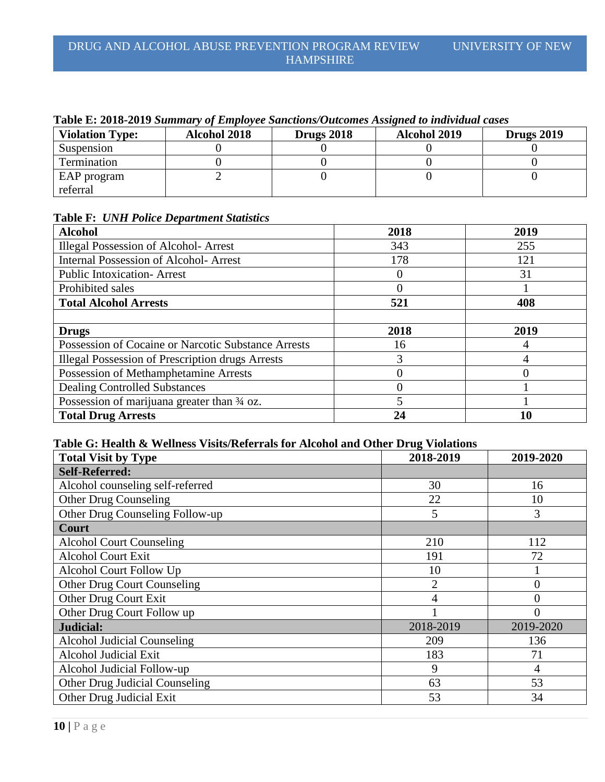| Tavic El 2010-2017 Dummar y 01 Employee Dunchons/Outcomes Assigned to multium cases |                     |                   |                     |                   |
|-------------------------------------------------------------------------------------|---------------------|-------------------|---------------------|-------------------|
| <b>Violation Type:</b>                                                              | <b>Alcohol 2018</b> | <b>Drugs 2018</b> | <b>Alcohol 2019</b> | <b>Drugs 2019</b> |
| Suspension                                                                          |                     |                   |                     |                   |
| Termination                                                                         |                     |                   |                     |                   |
| EAP program                                                                         |                     |                   |                     |                   |
| referral                                                                            |                     |                   |                     |                   |

#### **Table E: 2018-2019** *Summary of Employee Sanctions/Outcomes Assigned to individual cases*

### **Table F:** *UNH Police Department Statistics*

| <b>Alcohol</b>                                          | 2018 | 2019 |
|---------------------------------------------------------|------|------|
| <b>Illegal Possession of Alcohol-Arrest</b>             | 343  | 255  |
| <b>Internal Possession of Alcohol- Arrest</b>           | 178  | 121  |
| <b>Public Intoxication-Arrest</b>                       | 0    | 31   |
| Prohibited sales                                        | 0    |      |
| <b>Total Alcohol Arrests</b>                            | 521  | 408  |
|                                                         |      |      |
| <b>Drugs</b>                                            | 2018 | 2019 |
| Possession of Cocaine or Narcotic Substance Arrests     | 16   |      |
| <b>Illegal Possession of Prescription drugs Arrests</b> | 3    | 4    |
| Possession of Methamphetamine Arrests                   | 0    | 0    |
| <b>Dealing Controlled Substances</b>                    | 0    |      |
| Possession of marijuana greater than 3/4 oz.            | 5    |      |
| <b>Total Drug Arrests</b>                               | 24   | 10   |

# **Table G: Health & Wellness Visits/Referrals for Alcohol and Other Drug Violations**

| <b>Total Visit by Type</b>         | 2018-2019      | 2019-2020      |
|------------------------------------|----------------|----------------|
| <b>Self-Referred:</b>              |                |                |
| Alcohol counseling self-referred   | 30             | 16             |
| <b>Other Drug Counseling</b>       | 22             | 10             |
| Other Drug Counseling Follow-up    | 5              | 3              |
| Court                              |                |                |
| <b>Alcohol Court Counseling</b>    | 210            | 112            |
| <b>Alcohol Court Exit</b>          | 191            | 72             |
| Alcohol Court Follow Up            | 10             |                |
| <b>Other Drug Court Counseling</b> | $\overline{2}$ | $\overline{0}$ |
| Other Drug Court Exit              | $\overline{4}$ | $\overline{0}$ |
| Other Drug Court Follow up         |                | $\overline{0}$ |
| Judicial:                          | 2018-2019      | 2019-2020      |
| <b>Alcohol Judicial Counseling</b> | 209            | 136            |
| Alcohol Judicial Exit              | 183            | 71             |
| Alcohol Judicial Follow-up         | 9              | $\overline{4}$ |
| Other Drug Judicial Counseling     | 63             | 53             |
| Other Drug Judicial Exit           | 53             | 34             |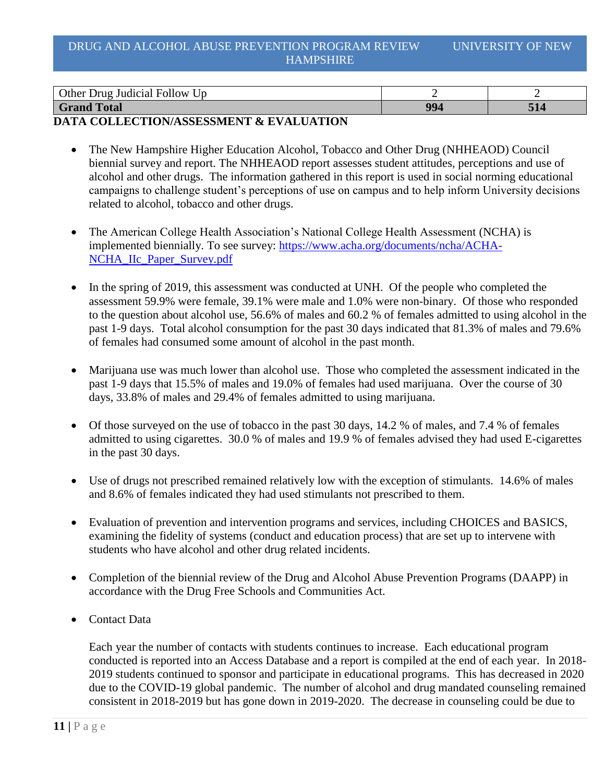| $\bullet$<br>Other<br><b>Follow</b><br>. Drug<br>$U_{\rm D}$<br>Judicial |           |     |
|--------------------------------------------------------------------------|-----------|-----|
| <b>Grand</b><br><b>Total</b>                                             | ሰሰ<br>. . | 314 |

### **DATA COLLECTION/ASSESSMENT & EVALUATION**

- The New Hampshire Higher Education Alcohol, Tobacco and Other Drug (NHHEAOD) Council biennial survey and report. The NHHEAOD report assesses student attitudes, perceptions and use of alcohol and other drugs. The information gathered in this report is used in social norming educational campaigns to challenge student's perceptions of use on campus and to help inform University decisions related to alcohol, tobacco and other drugs.
- The American College Health Association's National College Health Assessment (NCHA) is implemented biennially. To see survey: [https://www.acha.org/documents/ncha/ACHA-](https://www.acha.org/documents/ncha/ACHA-NCHA_IIc_Paper_Survey.pdf)[NCHA\\_IIc\\_Paper\\_Survey.pdf](https://www.acha.org/documents/ncha/ACHA-NCHA_IIc_Paper_Survey.pdf)
- In the spring of 2019, this assessment was conducted at UNH. Of the people who completed the assessment 59.9% were female, 39.1% were male and 1.0% were non-binary. Of those who responded to the question about alcohol use, 56.6% of males and 60.2 % of females admitted to using alcohol in the past 1-9 days. Total alcohol consumption for the past 30 days indicated that 81.3% of males and 79.6% of females had consumed some amount of alcohol in the past month.
- Marijuana use was much lower than alcohol use. Those who completed the assessment indicated in the past 1-9 days that 15.5% of males and 19.0% of females had used marijuana. Over the course of 30 days, 33.8% of males and 29.4% of females admitted to using marijuana.
- $\bullet$  Of those surveyed on the use of tobacco in the past 30 days, 14.2 % of males, and 7.4 % of females admitted to using cigarettes. 30.0 % of males and 19.9 % of females advised they had used E-cigarettes in the past 30 days.
- Use of drugs not prescribed remained relatively low with the exception of stimulants. 14.6% of males and 8.6% of females indicated they had used stimulants not prescribed to them.
- Evaluation of prevention and intervention programs and services, including CHOICES and BASICS, examining the fidelity of systems (conduct and education process) that are set up to intervene with students who have alcohol and other drug related incidents.
- Completion of the biennial review of the Drug and Alcohol Abuse Prevention Programs (DAAPP) in accordance with the Drug Free Schools and Communities Act.
- Contact Data

Each year the number of contacts with students continues to increase. Each educational program conducted is reported into an Access Database and a report is compiled at the end of each year. In 2018- 2019 students continued to sponsor and participate in educational programs. This has decreased in 2020 due to the COVID-19 global pandemic. The number of alcohol and drug mandated counseling remained consistent in 2018-2019 but has gone down in 2019-2020. The decrease in counseling could be due to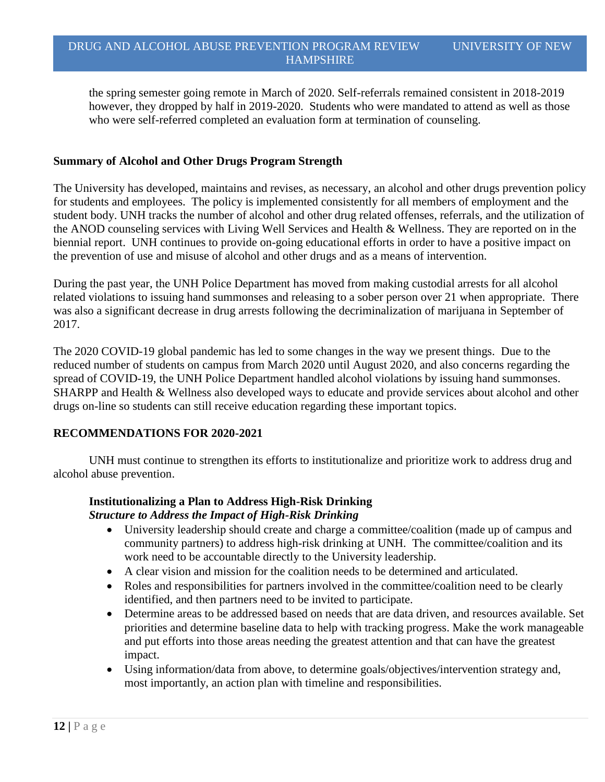the spring semester going remote in March of 2020. Self-referrals remained consistent in 2018-2019 however, they dropped by half in 2019-2020. Students who were mandated to attend as well as those who were self-referred completed an evaluation form at termination of counseling.

### **Summary of Alcohol and Other Drugs Program Strength**

The University has developed, maintains and revises, as necessary, an alcohol and other drugs prevention policy for students and employees. The policy is implemented consistently for all members of employment and the student body. UNH tracks the number of alcohol and other drug related offenses, referrals, and the utilization of the ANOD counseling services with Living Well Services and Health & Wellness. They are reported on in the biennial report. UNH continues to provide on-going educational efforts in order to have a positive impact on the prevention of use and misuse of alcohol and other drugs and as a means of intervention.

During the past year, the UNH Police Department has moved from making custodial arrests for all alcohol related violations to issuing hand summonses and releasing to a sober person over 21 when appropriate. There was also a significant decrease in drug arrests following the decriminalization of marijuana in September of 2017.

The 2020 COVID-19 global pandemic has led to some changes in the way we present things. Due to the reduced number of students on campus from March 2020 until August 2020, and also concerns regarding the spread of COVID-19, the UNH Police Department handled alcohol violations by issuing hand summonses. SHARPP and Health & Wellness also developed ways to educate and provide services about alcohol and other drugs on-line so students can still receive education regarding these important topics.

#### **RECOMMENDATIONS FOR 2020-2021**

UNH must continue to strengthen its efforts to institutionalize and prioritize work to address drug and alcohol abuse prevention.

# **Institutionalizing a Plan to Address High-Risk Drinking** *Structure to Address the Impact of High-Risk Drinking*

- University leadership should create and charge a committee/coalition (made up of campus and community partners) to address high-risk drinking at UNH. The committee/coalition and its work need to be accountable directly to the University leadership.
- A clear vision and mission for the coalition needs to be determined and articulated.
- Roles and responsibilities for partners involved in the committee/coalition need to be clearly identified, and then partners need to be invited to participate.
- Determine areas to be addressed based on needs that are data driven, and resources available. Set priorities and determine baseline data to help with tracking progress. Make the work manageable and put efforts into those areas needing the greatest attention and that can have the greatest impact.
- Using information/data from above, to determine goals/objectives/intervention strategy and, most importantly, an action plan with timeline and responsibilities.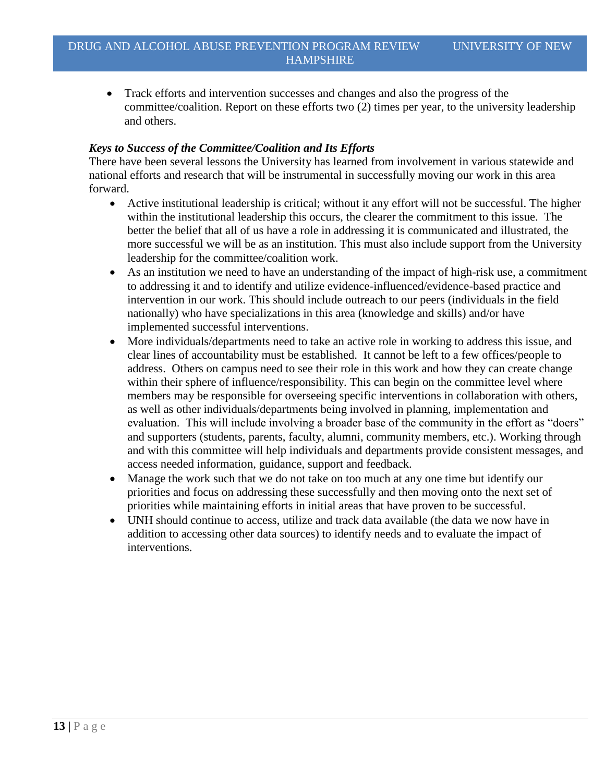Track efforts and intervention successes and changes and also the progress of the committee/coalition. Report on these efforts two (2) times per year, to the university leadership and others.

#### *Keys to Success of the Committee/Coalition and Its Efforts*

There have been several lessons the University has learned from involvement in various statewide and national efforts and research that will be instrumental in successfully moving our work in this area forward.

- Active institutional leadership is critical; without it any effort will not be successful. The higher within the institutional leadership this occurs, the clearer the commitment to this issue. The better the belief that all of us have a role in addressing it is communicated and illustrated, the more successful we will be as an institution. This must also include support from the University leadership for the committee/coalition work.
- As an institution we need to have an understanding of the impact of high-risk use, a commitment to addressing it and to identify and utilize evidence-influenced/evidence-based practice and intervention in our work. This should include outreach to our peers (individuals in the field nationally) who have specializations in this area (knowledge and skills) and/or have implemented successful interventions.
- More individuals/departments need to take an active role in working to address this issue, and clear lines of accountability must be established. It cannot be left to a few offices/people to address. Others on campus need to see their role in this work and how they can create change within their sphere of influence/responsibility. This can begin on the committee level where members may be responsible for overseeing specific interventions in collaboration with others, as well as other individuals/departments being involved in planning, implementation and evaluation. This will include involving a broader base of the community in the effort as "doers" and supporters (students, parents, faculty, alumni, community members, etc.). Working through and with this committee will help individuals and departments provide consistent messages, and access needed information, guidance, support and feedback.
- Manage the work such that we do not take on too much at any one time but identify our priorities and focus on addressing these successfully and then moving onto the next set of priorities while maintaining efforts in initial areas that have proven to be successful.
- UNH should continue to access, utilize and track data available (the data we now have in addition to accessing other data sources) to identify needs and to evaluate the impact of interventions.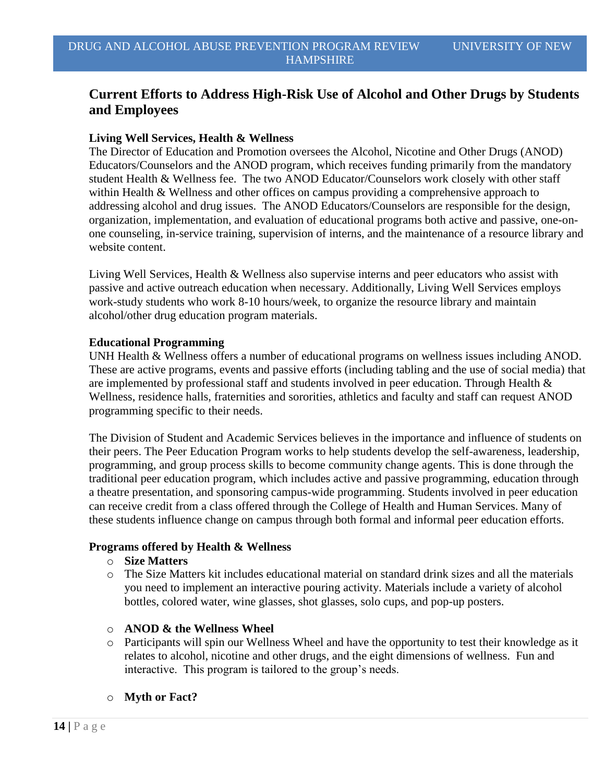# **Current Efforts to Address High-Risk Use of Alcohol and Other Drugs by Students and Employees**

#### **Living Well Services, Health & Wellness**

The Director of Education and Promotion oversees the Alcohol, Nicotine and Other Drugs (ANOD) Educators/Counselors and the ANOD program, which receives funding primarily from the mandatory student Health & Wellness fee. The two ANOD Educator/Counselors work closely with other staff within Health & Wellness and other offices on campus providing a comprehensive approach to addressing alcohol and drug issues. The ANOD Educators/Counselors are responsible for the design, organization, implementation, and evaluation of educational programs both active and passive, one-onone counseling, in-service training, supervision of interns, and the maintenance of a resource library and website content.

Living Well Services, Health & Wellness also supervise interns and peer educators who assist with passive and active outreach education when necessary. Additionally, Living Well Services employs work-study students who work 8-10 hours/week, to organize the resource library and maintain alcohol/other drug education program materials.

#### **Educational Programming**

UNH Health & Wellness offers a number of educational programs on wellness issues including ANOD. These are active programs, events and passive efforts (including tabling and the use of social media) that are implemented by professional staff and students involved in peer education. Through Health & Wellness, residence halls, fraternities and sororities, athletics and faculty and staff can request ANOD programming specific to their needs.

The Division of Student and Academic Services believes in the importance and influence of students on their peers. The Peer Education Program works to help students develop the self-awareness, leadership, programming, and group process skills to become community change agents. This is done through the traditional peer education program, which includes active and passive programming, education through a theatre presentation, and sponsoring campus-wide programming. Students involved in peer education can receive credit from a class offered through the College of Health and Human Services. Many of these students influence change on campus through both formal and informal peer education efforts.

#### **Programs offered by Health & Wellness**

#### o **Size Matters**

- o The Size Matters kit includes educational material on standard drink sizes and all the materials you need to implement an interactive pouring activity. Materials include a variety of alcohol bottles, colored water, wine glasses, shot glasses, solo cups, and pop-up posters.
- o **ANOD & the Wellness Wheel**
- o Participants will spin our Wellness Wheel and have the opportunity to test their knowledge as it relates to alcohol, nicotine and other drugs, and the eight dimensions of wellness. Fun and interactive. This program is tailored to the group's needs.
- o **Myth or Fact?**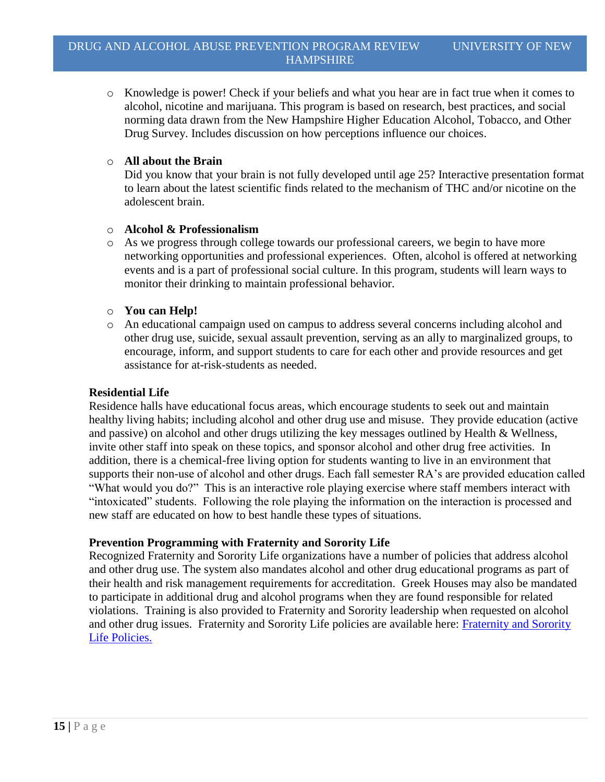alcohol, nicotine and marijuana. This program is based on research, best practices, and social norming data drawn from the New Hampshire Higher Education Alcohol, Tobacco, and Other Drug Survey. Includes discussion on how perceptions influence our choices.

### o **All about the Brain**

Did you know that your brain is not fully developed until age 25? Interactive presentation format to learn about the latest scientific finds related to the mechanism of THC and/or nicotine on the adolescent brain.

### o **Alcohol & Professionalism**

- o As we progress through college towards our professional careers, we begin to have more networking opportunities and professional experiences. Often, alcohol is offered at networking events and is a part of professional social culture. In this program, students will learn ways to monitor their drinking to maintain professional behavior.
- o **You can Help!**
- o An educational campaign used on campus to address several concerns including alcohol and other drug use, suicide, sexual assault prevention, serving as an ally to marginalized groups, to encourage, inform, and support students to care for each other and provide resources and get assistance for at-risk-students as needed.

#### **Residential Life**

Residence halls have educational focus areas, which encourage students to seek out and maintain healthy living habits; including alcohol and other drug use and misuse. They provide education (active and passive) on alcohol and other drugs utilizing the key messages outlined by Health & Wellness, invite other staff into speak on these topics, and sponsor alcohol and other drug free activities. In addition, there is a chemical-free living option for students wanting to live in an environment that supports their non-use of alcohol and other drugs. Each fall semester RA's are provided education called "What would you do?" This is an interactive role playing exercise where staff members interact with "intoxicated" students. Following the role playing the information on the interaction is processed and new staff are educated on how to best handle these types of situations.

# **Prevention Programming with Fraternity and Sorority Life**

Recognized Fraternity and Sorority Life organizations have a number of policies that address alcohol and other drug use. The system also mandates alcohol and other drug educational programs as part of their health and risk management requirements for accreditation. Greek Houses may also be mandated to participate in additional drug and alcohol programs when they are found responsible for related violations. Training is also provided to Fraternity and Sorority leadership when requested on alcohol and other drug issues. [Fraternity and Sorority](https://www.unh.edu/mub/fraternity-sorority-life) Life policies are available here: Fraternity and Sorority [Life Policies.](https://www.unh.edu/mub/fraternity-sorority-life)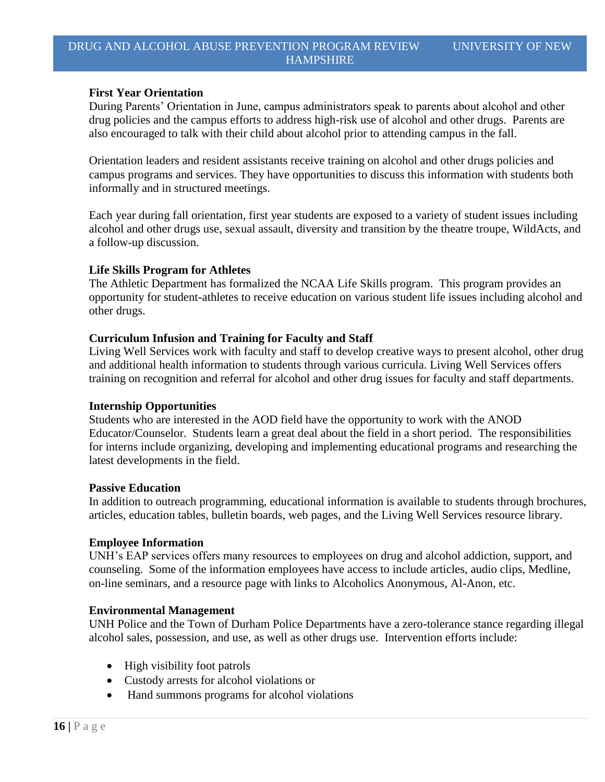#### **First Year Orientation**

During Parents' Orientation in June, campus administrators speak to parents about alcohol and other drug policies and the campus efforts to address high-risk use of alcohol and other drugs. Parents are also encouraged to talk with their child about alcohol prior to attending campus in the fall.

Orientation leaders and resident assistants receive training on alcohol and other drugs policies and campus programs and services. They have opportunities to discuss this information with students both informally and in structured meetings.

Each year during fall orientation, first year students are exposed to a variety of student issues including alcohol and other drugs use, sexual assault, diversity and transition by the theatre troupe, WildActs, and a follow-up discussion.

#### **Life Skills Program for Athletes**

The Athletic Department has formalized the NCAA Life Skills program. This program provides an opportunity for student-athletes to receive education on various student life issues including alcohol and other drugs.

#### **Curriculum Infusion and Training for Faculty and Staff**

Living Well Services work with faculty and staff to develop creative ways to present alcohol, other drug and additional health information to students through various curricula. Living Well Services offers training on recognition and referral for alcohol and other drug issues for faculty and staff departments.

#### **Internship Opportunities**

Students who are interested in the AOD field have the opportunity to work with the ANOD Educator/Counselor. Students learn a great deal about the field in a short period. The responsibilities for interns include organizing, developing and implementing educational programs and researching the latest developments in the field.

#### **Passive Education**

In addition to outreach programming, educational information is available to students through brochures, articles, education tables, bulletin boards, web pages, and the Living Well Services resource library.

#### **Employee Information**

UNH's EAP services offers many resources to employees on drug and alcohol addiction, support, and counseling. Some of the information employees have access to include articles, audio clips, Medline, on-line seminars, and a resource page with links to Alcoholics Anonymous, Al-Anon, etc.

#### **Environmental Management**

UNH Police and the Town of Durham Police Departments have a zero-tolerance stance regarding illegal alcohol sales, possession, and use, as well as other drugs use. Intervention efforts include:

- High visibility foot patrols
- Custody arrests for alcohol violations or
- Hand summons programs for alcohol violations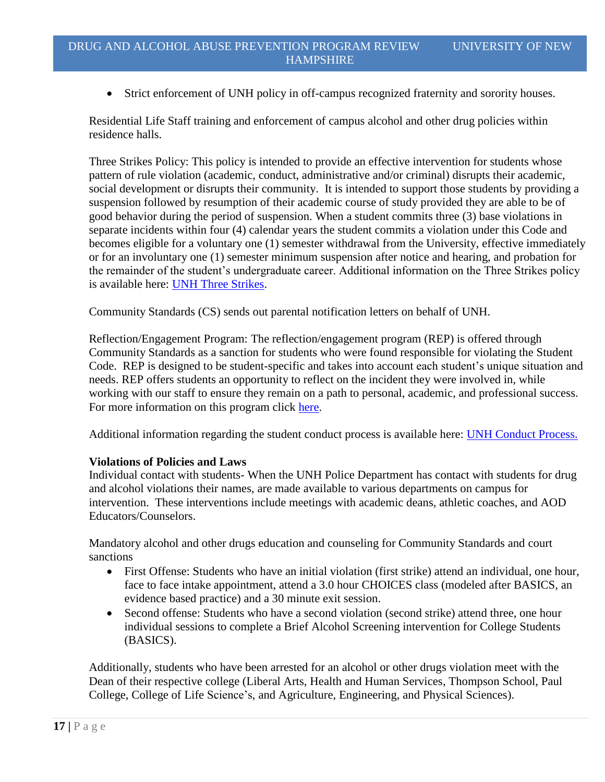Strict enforcement of UNH policy in off-campus recognized fraternity and sorority houses.

Residential Life Staff training and enforcement of campus alcohol and other drug policies within residence halls.

Three Strikes Policy: This policy is intended to provide an effective intervention for students whose pattern of rule violation (academic, conduct, administrative and/or criminal) disrupts their academic, social development or disrupts their community. It is intended to support those students by providing a suspension followed by resumption of their academic course of study provided they are able to be of good behavior during the period of suspension. When a student commits three (3) base violations in separate incidents within four (4) calendar years the student commits a violation under this Code and becomes eligible for a voluntary one (1) semester withdrawal from the University, effective immediately or for an involuntary one (1) semester minimum suspension after notice and hearing, and probation for the remainder of the student's undergraduate career. Additional information on the Three Strikes policy is available here: **UNH Three Strikes**.

Community Standards (CS) sends out parental notification letters on behalf of UNH.

Reflection/Engagement Program: The reflection/engagement program (REP) is offered through Community Standards as a sanction for students who were found responsible for violating the Student Code. REP is designed to be student-specific and takes into account each student's unique situation and needs. REP offers students an opportunity to reflect on the incident they were involved in, while working with our staff to ensure they remain on a path to personal, academic, and professional success. For more information on this program click [here.](https://www.unh.edu/ocs/rep)

Additional information regarding the student conduct process is available here: [UNH Conduct Process.](https://www.unh.edu/ocs/conduct-process)

#### **Violations of Policies and Laws**

Individual contact with students- When the UNH Police Department has contact with students for drug and alcohol violations their names, are made available to various departments on campus for intervention. These interventions include meetings with academic deans, athletic coaches, and AOD Educators/Counselors.

Mandatory alcohol and other drugs education and counseling for Community Standards and court sanctions

- First Offense: Students who have an initial violation (first strike) attend an individual, one hour, face to face intake appointment, attend a 3.0 hour CHOICES class (modeled after BASICS, an evidence based practice) and a 30 minute exit session.
- Second offense: Students who have a second violation (second strike) attend three, one hour individual sessions to complete a Brief Alcohol Screening intervention for College Students (BASICS).

Additionally, students who have been arrested for an alcohol or other drugs violation meet with the Dean of their respective college (Liberal Arts, Health and Human Services, Thompson School, Paul College, College of Life Science's, and Agriculture, Engineering, and Physical Sciences).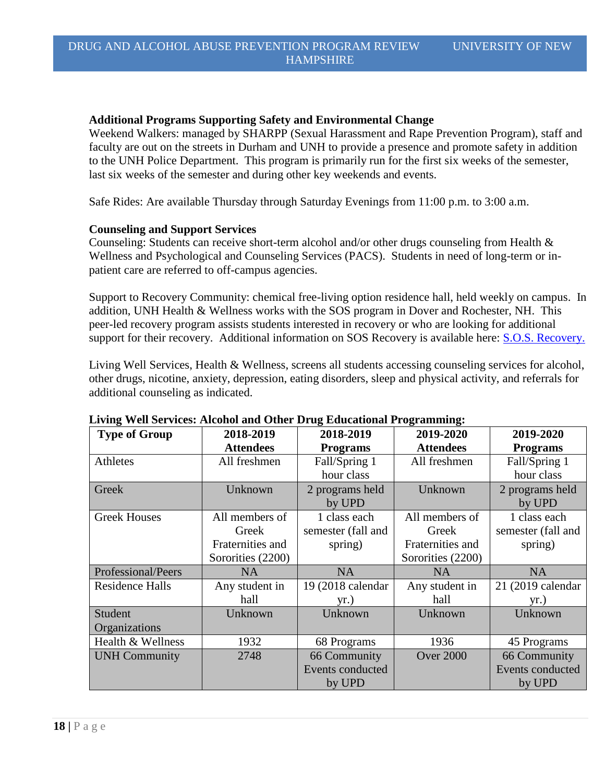#### **Additional Programs Supporting Safety and Environmental Change**

Weekend Walkers: managed by SHARPP (Sexual Harassment and Rape Prevention Program), staff and faculty are out on the streets in Durham and UNH to provide a presence and promote safety in addition to the UNH Police Department. This program is primarily run for the first six weeks of the semester, last six weeks of the semester and during other key weekends and events.

Safe Rides: Are available Thursday through Saturday Evenings from 11:00 p.m. to 3:00 a.m.

#### **Counseling and Support Services**

Counseling: Students can receive short-term alcohol and/or other drugs counseling from Health & Wellness and Psychological and Counseling Services (PACS). Students in need of long-term or inpatient care are referred to off-campus agencies.

Support to Recovery Community: chemical free-living option residence hall, held weekly on campus. In addition, UNH Health & Wellness works with the SOS program in Dover and Rochester, NH. This peer-led recovery program assists students interested in recovery or who are looking for additional support for their recovery. Additional information on SOS Recovery is available here: [S.O.S. Recovery.](https://straffordrecovery.org/)

Living Well Services, Health & Wellness, screens all students accessing counseling services for alcohol, other drugs, nicotine, anxiety, depression, eating disorders, sleep and physical activity, and referrals for additional counseling as indicated.

| <b>Type of Group</b>   | 2018-2019         | 2018-2019           | 2019-2020         | 2019-2020          |
|------------------------|-------------------|---------------------|-------------------|--------------------|
|                        | <b>Attendees</b>  | <b>Programs</b>     | <b>Attendees</b>  | <b>Programs</b>    |
| Athletes               | All freshmen      | Fall/Spring 1       | All freshmen      | Fall/Spring 1      |
|                        |                   | hour class          |                   | hour class         |
| Greek                  | Unknown           | 2 programs held     | Unknown           | 2 programs held    |
|                        |                   | by UPD              |                   | by UPD             |
| <b>Greek Houses</b>    | All members of    | 1 class each        | All members of    | 1 class each       |
|                        | Greek             | semester (fall and  | Greek             | semester (fall and |
|                        | Fraternities and  | spring)             | Fraternities and  | spring)            |
|                        | Sororities (2200) |                     | Sororities (2200) |                    |
| Professional/Peers     | <b>NA</b>         | <b>NA</b>           | <b>NA</b>         | <b>NA</b>          |
| <b>Residence Halls</b> | Any student in    | 19 (2018 calendar   | Any student in    | 21 (2019 calendar  |
|                        | hall              | yr.)                | hall              | yr.)               |
| Student                | Unknown           | Unknown             | Unknown           | Unknown            |
| Organizations          |                   |                     |                   |                    |
| Health & Wellness      | 1932              | 68 Programs         | 1936              | 45 Programs        |
| <b>UNH Community</b>   | 2748              | <b>66 Community</b> | <b>Over 2000</b>  | 66 Community       |
|                        |                   | Events conducted    |                   | Events conducted   |
|                        |                   | by UPD              |                   | by UPD             |

#### **Living Well Services: Alcohol and Other Drug Educational Programming:**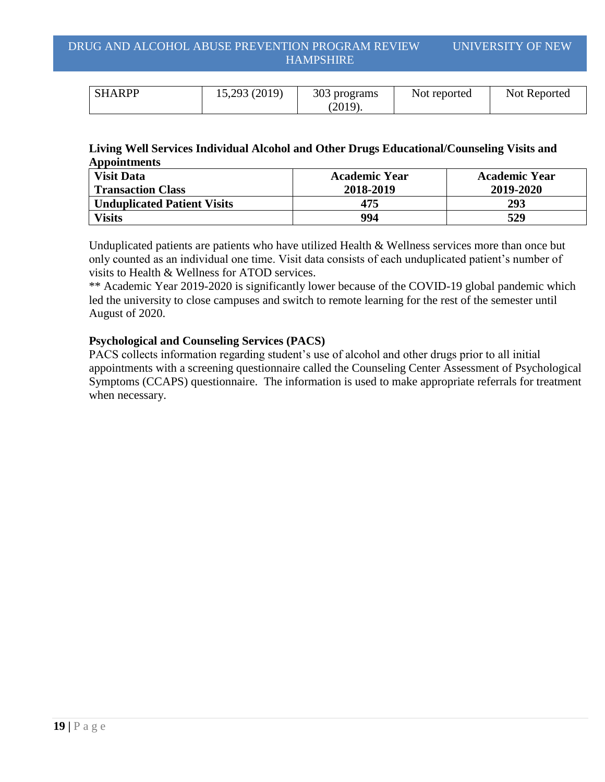| <b>SHARPP</b> | 15,293 (2019) | 303 programs | Not reported | Not Reported |
|---------------|---------------|--------------|--------------|--------------|
|               |               | (2019).      |              |              |

#### **Living Well Services Individual Alcohol and Other Drugs Educational/Counseling Visits and Appointments**

| <b>Visit Data</b>                  | <b>Academic Year</b> | <b>Academic Year</b> |
|------------------------------------|----------------------|----------------------|
| <b>Transaction Class</b>           | 2018-2019            | 2019-2020            |
| <b>Unduplicated Patient Visits</b> | 475                  | 293                  |
| <b>Visits</b>                      | 994                  | 529                  |

Unduplicated patients are patients who have utilized Health & Wellness services more than once but only counted as an individual one time. Visit data consists of each unduplicated patient's number of visits to Health & Wellness for ATOD services.

\*\* Academic Year 2019-2020 is significantly lower because of the COVID-19 global pandemic which led the university to close campuses and switch to remote learning for the rest of the semester until August of 2020.

### **Psychological and Counseling Services (PACS)**

PACS collects information regarding student's use of alcohol and other drugs prior to all initial appointments with a screening questionnaire called the Counseling Center Assessment of Psychological Symptoms (CCAPS) questionnaire. The information is used to make appropriate referrals for treatment when necessary.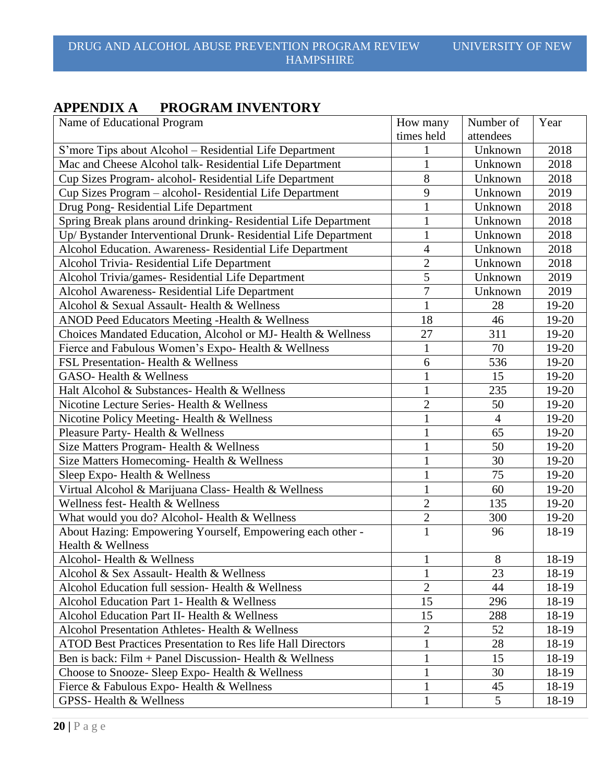# **APPENDIX A PROGRAM INVENTORY**

| Name of Educational Program                                        | How many       | Number of      | Year  |
|--------------------------------------------------------------------|----------------|----------------|-------|
|                                                                    | times held     | attendees      |       |
| S'more Tips about Alcohol – Residential Life Department            |                | Unknown        | 2018  |
| Mac and Cheese Alcohol talk-Residential Life Department            |                | Unknown        | 2018  |
| Cup Sizes Program- alcohol- Residential Life Department            | 8              | Unknown        | 2018  |
| Cup Sizes Program - alcohol- Residential Life Department           | 9              | Unknown        | 2019  |
| Drug Pong-Residential Life Department                              | $\mathbf{1}$   | Unknown        | 2018  |
| Spring Break plans around drinking-Residential Life Department     | $\mathbf{1}$   | Unknown        | 2018  |
| Up/ Bystander Interventional Drunk- Residential Life Department    | $\mathbf{1}$   | Unknown        | 2018  |
| Alcohol Education. Awareness- Residential Life Department          | 4              | Unknown        | 2018  |
| Alcohol Trivia- Residential Life Department                        | $\overline{2}$ | Unknown        | 2018  |
| Alcohol Trivia/games- Residential Life Department                  | $\overline{5}$ | Unknown        | 2019  |
| Alcohol Awareness- Residential Life Department                     | $\overline{7}$ | Unknown        | 2019  |
| Alcohol & Sexual Assault- Health & Wellness                        | $\mathbf{1}$   | 28             | 19-20 |
| ANOD Peed Educators Meeting -Health & Wellness                     | 18             | 46             | 19-20 |
| Choices Mandated Education, Alcohol or MJ- Health & Wellness       | 27             | 311            | 19-20 |
| Fierce and Fabulous Women's Expo-Health & Wellness                 | 1              | 70             | 19-20 |
| FSL Presentation-Health & Wellness                                 | 6              | 536            | 19-20 |
| GASO-Health & Wellness                                             | $\mathbf{1}$   | 15             | 19-20 |
| Halt Alcohol & Substances- Health & Wellness                       | $\mathbf{1}$   | 235            | 19-20 |
| Nicotine Lecture Series- Health & Wellness                         | $\overline{2}$ | 50             | 19-20 |
| Nicotine Policy Meeting- Health & Wellness                         | $\mathbf{1}$   | $\overline{4}$ | 19-20 |
| Pleasure Party-Health & Wellness                                   | $\mathbf{1}$   | 65             | 19-20 |
| Size Matters Program- Health & Wellness                            | $\mathbf{1}$   | 50             | 19-20 |
| Size Matters Homecoming-Health & Wellness                          | $\mathbf{1}$   | 30             | 19-20 |
| Sleep Expo- Health & Wellness                                      | $\mathbf{1}$   | 75             | 19-20 |
| Virtual Alcohol & Marijuana Class-Health & Wellness                | $\mathbf{1}$   | 60             | 19-20 |
| Wellness fest-Health & Wellness                                    | $\overline{2}$ | 135            | 19-20 |
| What would you do? Alcohol- Health & Wellness                      | $\overline{2}$ | 300            | 19-20 |
| About Hazing: Empowering Yourself, Empowering each other -         | $\mathbf{1}$   | 96             | 18-19 |
| Health & Wellness                                                  |                |                |       |
| Alcohol- Health & Wellness                                         | $\mathbf{1}$   | $8\,$          | 18-19 |
| Alcohol & Sex Assault-Health & Wellness                            | 1              | 23             | 18-19 |
| Alcohol Education full session- Health & Wellness                  | $\overline{2}$ | 44             | 18-19 |
| Alcohol Education Part 1- Health & Wellness                        | 15             | 296            | 18-19 |
| Alcohol Education Part II- Health & Wellness                       | 15             | 288            | 18-19 |
| Alcohol Presentation Athletes- Health & Wellness                   | $\overline{2}$ | 52             | 18-19 |
| <b>ATOD Best Practices Presentation to Res life Hall Directors</b> | $\mathbf{1}$   | 28             | 18-19 |
| Ben is back: Film + Panel Discussion- Health $&$ Wellness          | $\mathbf{1}$   | 15             | 18-19 |
| Choose to Snooze- Sleep Expo- Health & Wellness                    | $\mathbf{1}$   | 30             | 18-19 |
| Fierce & Fabulous Expo-Health & Wellness                           | $\mathbf{1}$   | 45             | 18-19 |
| GPSS-Health & Wellness                                             | $\mathbf{1}$   | 5              | 18-19 |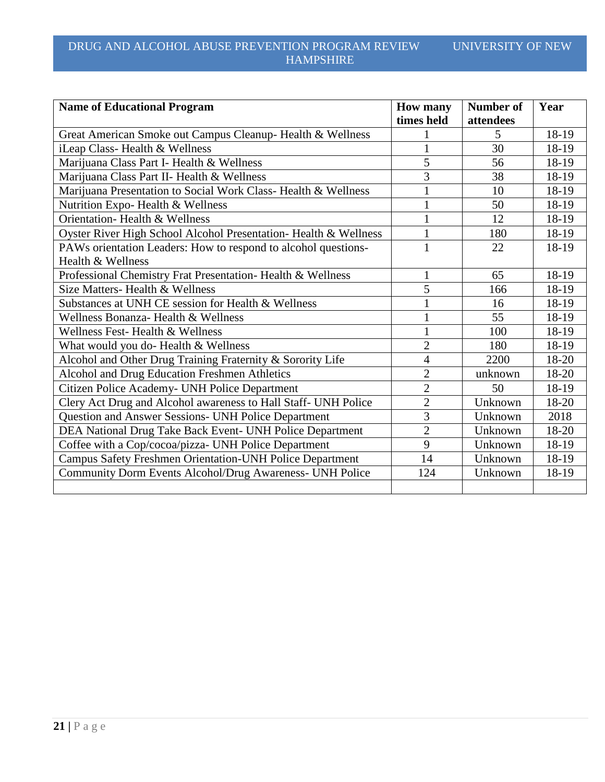| <b>Name of Educational Program</b>                               | <b>How many</b><br>times held | <b>Number of</b><br>attendees | Year  |
|------------------------------------------------------------------|-------------------------------|-------------------------------|-------|
| Great American Smoke out Campus Cleanup-Health & Wellness        |                               | 5                             | 18-19 |
| iLeap Class-Health & Wellness                                    | $\mathbf{1}$                  | 30                            | 18-19 |
| Marijuana Class Part I- Health & Wellness                        | 5                             | 56                            | 18-19 |
| Marijuana Class Part II- Health & Wellness                       | 3                             | 38                            | 18-19 |
| Marijuana Presentation to Social Work Class-Health & Wellness    | $\mathbf{1}$                  | 10                            | 18-19 |
| Nutrition Expo-Health & Wellness                                 | $\mathbf{1}$                  | 50                            | 18-19 |
| Orientation-Health & Wellness                                    | $\mathbf{1}$                  | 12                            | 18-19 |
| Oyster River High School Alcohol Presentation- Health & Wellness | 1                             | 180                           | 18-19 |
| PAWs orientation Leaders: How to respond to alcohol questions-   | $\mathbf 1$                   | 22                            | 18-19 |
| Health & Wellness                                                |                               |                               |       |
| Professional Chemistry Frat Presentation-Health & Wellness       | 1                             | 65                            | 18-19 |
| Size Matters- Health & Wellness                                  | 5                             | 166                           | 18-19 |
| Substances at UNH CE session for Health & Wellness               |                               | 16                            | 18-19 |
| Wellness Bonanza- Health & Wellness                              |                               | 55                            | 18-19 |
| Wellness Fest-Health & Wellness                                  | $\mathbf 1$                   | 100                           | 18-19 |
| What would you do- Health & Wellness                             | $\overline{2}$                | 180                           | 18-19 |
| Alcohol and Other Drug Training Fraternity & Sorority Life       | 4                             | 2200                          | 18-20 |
| Alcohol and Drug Education Freshmen Athletics                    | $\overline{2}$                | unknown                       | 18-20 |
| Citizen Police Academy- UNH Police Department                    | $\overline{2}$                | 50                            | 18-19 |
| Clery Act Drug and Alcohol awareness to Hall Staff- UNH Police   | $\overline{2}$                | Unknown                       | 18-20 |
| Question and Answer Sessions- UNH Police Department              | 3                             | Unknown                       | 2018  |
| DEA National Drug Take Back Event- UNH Police Department         | $\overline{2}$                | Unknown                       | 18-20 |
| Coffee with a Cop/cocoa/pizza- UNH Police Department             | 9                             | Unknown                       | 18-19 |
| <b>Campus Safety Freshmen Orientation-UNH Police Department</b>  | 14                            | Unknown                       | 18-19 |
| Community Dorm Events Alcohol/Drug Awareness- UNH Police         | 124                           | Unknown                       | 18-19 |
|                                                                  |                               |                               |       |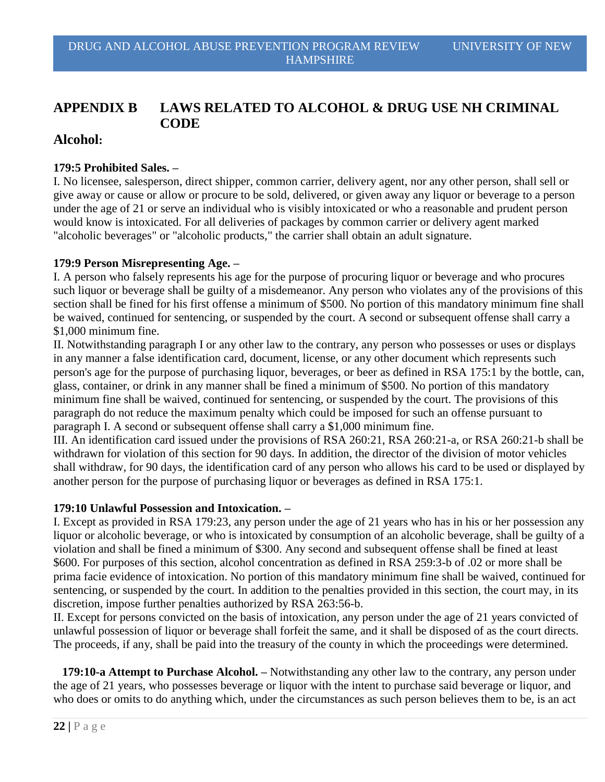# **APPENDIX B LAWS RELATED TO ALCOHOL & DRUG USE NH CRIMINAL CODE**

# **Alcohol:**

#### **179:5 Prohibited Sales. –**

I. No licensee, salesperson, direct shipper, common carrier, delivery agent, nor any other person, shall sell or give away or cause or allow or procure to be sold, delivered, or given away any liquor or beverage to a person under the age of 21 or serve an individual who is visibly intoxicated or who a reasonable and prudent person would know is intoxicated. For all deliveries of packages by common carrier or delivery agent marked "alcoholic beverages" or "alcoholic products," the carrier shall obtain an adult signature.

### **179:9 Person Misrepresenting Age. –**

I. A person who falsely represents his age for the purpose of procuring liquor or beverage and who procures such liquor or beverage shall be guilty of a misdemeanor. Any person who violates any of the provisions of this section shall be fined for his first offense a minimum of \$500. No portion of this mandatory minimum fine shall be waived, continued for sentencing, or suspended by the court. A second or subsequent offense shall carry a \$1,000 minimum fine.

II. Notwithstanding paragraph I or any other law to the contrary, any person who possesses or uses or displays in any manner a false identification card, document, license, or any other document which represents such person's age for the purpose of purchasing liquor, beverages, or beer as defined in RSA 175:1 by the bottle, can, glass, container, or drink in any manner shall be fined a minimum of \$500. No portion of this mandatory minimum fine shall be waived, continued for sentencing, or suspended by the court. The provisions of this paragraph do not reduce the maximum penalty which could be imposed for such an offense pursuant to paragraph I. A second or subsequent offense shall carry a \$1,000 minimum fine.

III. An identification card issued under the provisions of RSA 260:21, RSA 260:21-a, or RSA 260:21-b shall be withdrawn for violation of this section for 90 days. In addition, the director of the division of motor vehicles shall withdraw, for 90 days, the identification card of any person who allows his card to be used or displayed by another person for the purpose of purchasing liquor or beverages as defined in RSA 175:1.

#### **179:10 Unlawful Possession and Intoxication. –**

I. Except as provided in RSA 179:23, any person under the age of 21 years who has in his or her possession any liquor or alcoholic beverage, or who is intoxicated by consumption of an alcoholic beverage, shall be guilty of a violation and shall be fined a minimum of \$300. Any second and subsequent offense shall be fined at least \$600. For purposes of this section, alcohol concentration as defined in RSA 259:3-b of .02 or more shall be prima facie evidence of intoxication. No portion of this mandatory minimum fine shall be waived, continued for sentencing, or suspended by the court. In addition to the penalties provided in this section, the court may, in its discretion, impose further penalties authorized by RSA 263:56-b.

II. Except for persons convicted on the basis of intoxication, any person under the age of 21 years convicted of unlawful possession of liquor or beverage shall forfeit the same, and it shall be disposed of as the court directs. The proceeds, if any, shall be paid into the treasury of the county in which the proceedings were determined.

 **179:10-a Attempt to Purchase Alcohol. –** Notwithstanding any other law to the contrary, any person under the age of 21 years, who possesses beverage or liquor with the intent to purchase said beverage or liquor, and who does or omits to do anything which, under the circumstances as such person believes them to be, is an act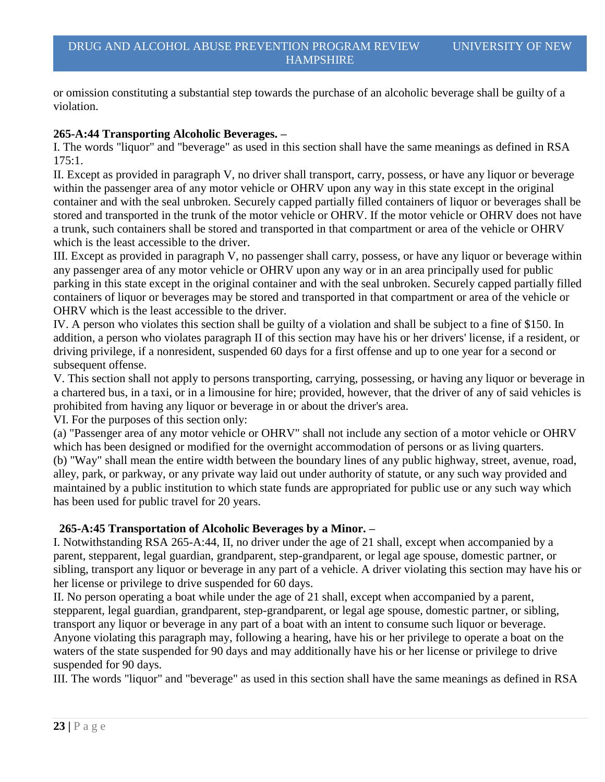or omission constituting a substantial step towards the purchase of an alcoholic beverage shall be guilty of a violation.

# **265-A:44 Transporting Alcoholic Beverages. –**

I. The words "liquor" and "beverage" as used in this section shall have the same meanings as defined in RSA 175:1.

II. Except as provided in paragraph V, no driver shall transport, carry, possess, or have any liquor or beverage within the passenger area of any motor vehicle or OHRV upon any way in this state except in the original container and with the seal unbroken. Securely capped partially filled containers of liquor or beverages shall be stored and transported in the trunk of the motor vehicle or OHRV. If the motor vehicle or OHRV does not have a trunk, such containers shall be stored and transported in that compartment or area of the vehicle or OHRV which is the least accessible to the driver.

III. Except as provided in paragraph V, no passenger shall carry, possess, or have any liquor or beverage within any passenger area of any motor vehicle or OHRV upon any way or in an area principally used for public parking in this state except in the original container and with the seal unbroken. Securely capped partially filled containers of liquor or beverages may be stored and transported in that compartment or area of the vehicle or OHRV which is the least accessible to the driver.

IV. A person who violates this section shall be guilty of a violation and shall be subject to a fine of \$150. In addition, a person who violates paragraph II of this section may have his or her drivers' license, if a resident, or driving privilege, if a nonresident, suspended 60 days for a first offense and up to one year for a second or subsequent offense.

V. This section shall not apply to persons transporting, carrying, possessing, or having any liquor or beverage in a chartered bus, in a taxi, or in a limousine for hire; provided, however, that the driver of any of said vehicles is prohibited from having any liquor or beverage in or about the driver's area.

VI. For the purposes of this section only:

(a) "Passenger area of any motor vehicle or OHRV" shall not include any section of a motor vehicle or OHRV which has been designed or modified for the overnight accommodation of persons or as living quarters. (b) "Way" shall mean the entire width between the boundary lines of any public highway, street, avenue, road, alley, park, or parkway, or any private way laid out under authority of statute, or any such way provided and maintained by a public institution to which state funds are appropriated for public use or any such way which has been used for public travel for 20 years.

# **265-A:45 Transportation of Alcoholic Beverages by a Minor. –**

I. Notwithstanding RSA 265-A:44, II, no driver under the age of 21 shall, except when accompanied by a parent, stepparent, legal guardian, grandparent, step-grandparent, or legal age spouse, domestic partner, or sibling, transport any liquor or beverage in any part of a vehicle. A driver violating this section may have his or her license or privilege to drive suspended for 60 days.

II. No person operating a boat while under the age of 21 shall, except when accompanied by a parent, stepparent, legal guardian, grandparent, step-grandparent, or legal age spouse, domestic partner, or sibling, transport any liquor or beverage in any part of a boat with an intent to consume such liquor or beverage. Anyone violating this paragraph may, following a hearing, have his or her privilege to operate a boat on the waters of the state suspended for 90 days and may additionally have his or her license or privilege to drive suspended for 90 days.

III. The words "liquor" and "beverage" as used in this section shall have the same meanings as defined in RSA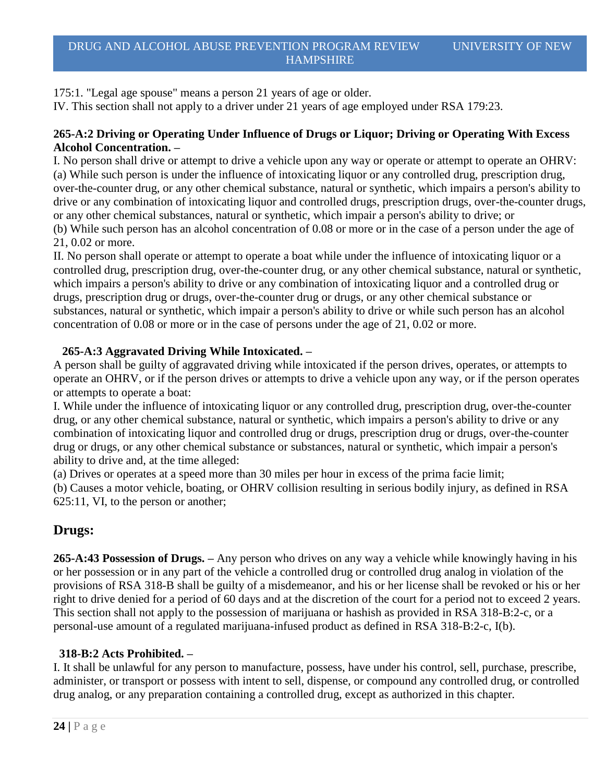175:1. "Legal age spouse" means a person 21 years of age or older.

IV. This section shall not apply to a driver under 21 years of age employed under RSA 179:23.

### **265-A:2 Driving or Operating Under Influence of Drugs or Liquor; Driving or Operating With Excess Alcohol Concentration. –**

I. No person shall drive or attempt to drive a vehicle upon any way or operate or attempt to operate an OHRV: (a) While such person is under the influence of intoxicating liquor or any controlled drug, prescription drug, over-the-counter drug, or any other chemical substance, natural or synthetic, which impairs a person's ability to drive or any combination of intoxicating liquor and controlled drugs, prescription drugs, over-the-counter drugs, or any other chemical substances, natural or synthetic, which impair a person's ability to drive; or (b) While such person has an alcohol concentration of 0.08 or more or in the case of a person under the age of

### 21, 0.02 or more.

II. No person shall operate or attempt to operate a boat while under the influence of intoxicating liquor or a controlled drug, prescription drug, over-the-counter drug, or any other chemical substance, natural or synthetic, which impairs a person's ability to drive or any combination of intoxicating liquor and a controlled drug or drugs, prescription drug or drugs, over-the-counter drug or drugs, or any other chemical substance or substances, natural or synthetic, which impair a person's ability to drive or while such person has an alcohol concentration of 0.08 or more or in the case of persons under the age of 21, 0.02 or more.

### **265-A:3 Aggravated Driving While Intoxicated. –**

A person shall be guilty of aggravated driving while intoxicated if the person drives, operates, or attempts to operate an OHRV, or if the person drives or attempts to drive a vehicle upon any way, or if the person operates or attempts to operate a boat:

I. While under the influence of intoxicating liquor or any controlled drug, prescription drug, over-the-counter drug, or any other chemical substance, natural or synthetic, which impairs a person's ability to drive or any combination of intoxicating liquor and controlled drug or drugs, prescription drug or drugs, over-the-counter drug or drugs, or any other chemical substance or substances, natural or synthetic, which impair a person's ability to drive and, at the time alleged:

(a) Drives or operates at a speed more than 30 miles per hour in excess of the prima facie limit; (b) Causes a motor vehicle, boating, or OHRV collision resulting in serious bodily injury, as defined in RSA 625:11, VI, to the person or another;

# **Drugs:**

**265-A:43 Possession of Drugs. –** Any person who drives on any way a vehicle while knowingly having in his or her possession or in any part of the vehicle a controlled drug or controlled drug analog in violation of the provisions of RSA 318-B shall be guilty of a misdemeanor, and his or her license shall be revoked or his or her right to drive denied for a period of 60 days and at the discretion of the court for a period not to exceed 2 years. This section shall not apply to the possession of marijuana or hashish as provided in RSA 318-B:2-c, or a personal-use amount of a regulated marijuana-infused product as defined in RSA 318-B:2-c, I(b).

# **318-B:2 Acts Prohibited. –**

I. It shall be unlawful for any person to manufacture, possess, have under his control, sell, purchase, prescribe, administer, or transport or possess with intent to sell, dispense, or compound any controlled drug, or controlled drug analog, or any preparation containing a controlled drug, except as authorized in this chapter.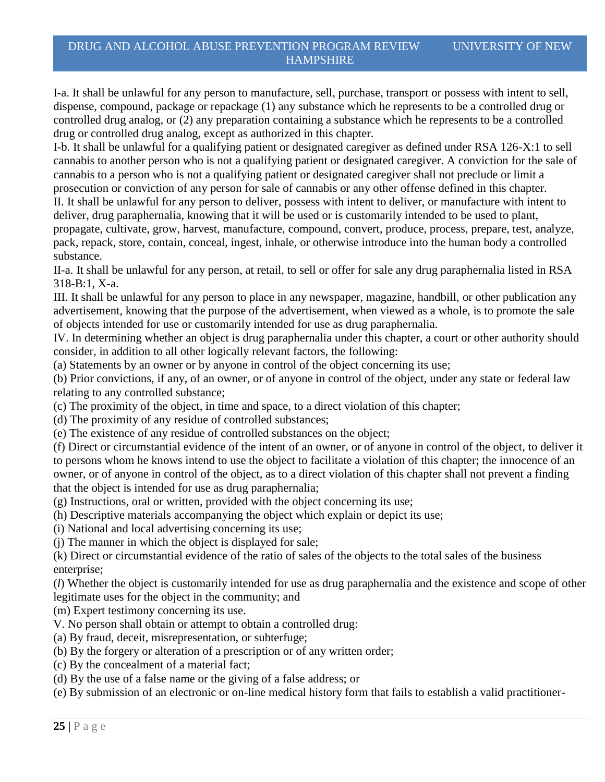I-a. It shall be unlawful for any person to manufacture, sell, purchase, transport or possess with intent to sell, dispense, compound, package or repackage (1) any substance which he represents to be a controlled drug or controlled drug analog, or (2) any preparation containing a substance which he represents to be a controlled drug or controlled drug analog, except as authorized in this chapter.

I-b. It shall be unlawful for a qualifying patient or designated caregiver as defined under RSA 126-X:1 to sell cannabis to another person who is not a qualifying patient or designated caregiver. A conviction for the sale of cannabis to a person who is not a qualifying patient or designated caregiver shall not preclude or limit a prosecution or conviction of any person for sale of cannabis or any other offense defined in this chapter.

II. It shall be unlawful for any person to deliver, possess with intent to deliver, or manufacture with intent to deliver, drug paraphernalia, knowing that it will be used or is customarily intended to be used to plant, propagate, cultivate, grow, harvest, manufacture, compound, convert, produce, process, prepare, test, analyze,

pack, repack, store, contain, conceal, ingest, inhale, or otherwise introduce into the human body a controlled substance.

II-a. It shall be unlawful for any person, at retail, to sell or offer for sale any drug paraphernalia listed in RSA 318-B:1, X-a.

III. It shall be unlawful for any person to place in any newspaper, magazine, handbill, or other publication any advertisement, knowing that the purpose of the advertisement, when viewed as a whole, is to promote the sale of objects intended for use or customarily intended for use as drug paraphernalia.

IV. In determining whether an object is drug paraphernalia under this chapter, a court or other authority should consider, in addition to all other logically relevant factors, the following:

(a) Statements by an owner or by anyone in control of the object concerning its use;

(b) Prior convictions, if any, of an owner, or of anyone in control of the object, under any state or federal law relating to any controlled substance;

(c) The proximity of the object, in time and space, to a direct violation of this chapter;

(d) The proximity of any residue of controlled substances;

(e) The existence of any residue of controlled substances on the object;

(f) Direct or circumstantial evidence of the intent of an owner, or of anyone in control of the object, to deliver it to persons whom he knows intend to use the object to facilitate a violation of this chapter; the innocence of an owner, or of anyone in control of the object, as to a direct violation of this chapter shall not prevent a finding that the object is intended for use as drug paraphernalia;

- (g) Instructions, oral or written, provided with the object concerning its use;
- (h) Descriptive materials accompanying the object which explain or depict its use;
- (i) National and local advertising concerning its use;
- (j) The manner in which the object is displayed for sale;

(k) Direct or circumstantial evidence of the ratio of sales of the objects to the total sales of the business enterprise;

(*l*) Whether the object is customarily intended for use as drug paraphernalia and the existence and scope of other legitimate uses for the object in the community; and

- (m) Expert testimony concerning its use.
- V. No person shall obtain or attempt to obtain a controlled drug:
- (a) By fraud, deceit, misrepresentation, or subterfuge;
- (b) By the forgery or alteration of a prescription or of any written order;
- (c) By the concealment of a material fact;
- (d) By the use of a false name or the giving of a false address; or
- (e) By submission of an electronic or on-line medical history form that fails to establish a valid practitioner-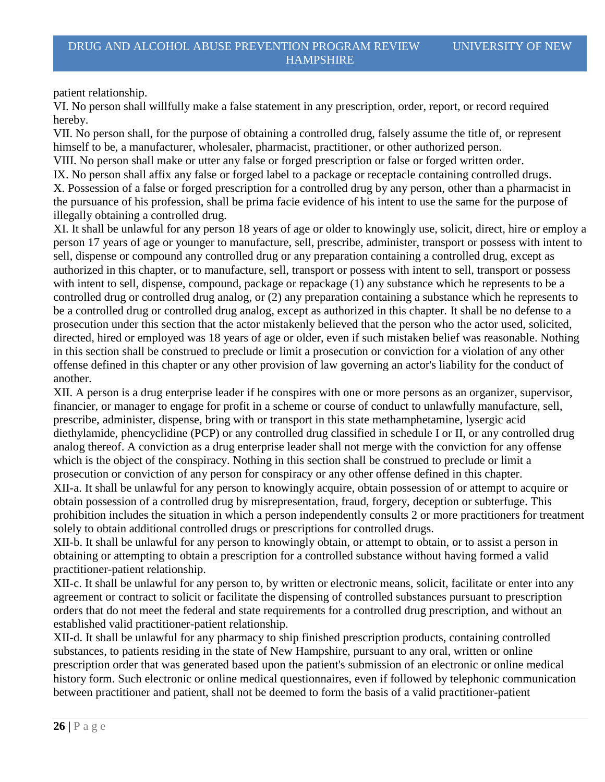patient relationship.

VI. No person shall willfully make a false statement in any prescription, order, report, or record required hereby.

VII. No person shall, for the purpose of obtaining a controlled drug, falsely assume the title of, or represent himself to be, a manufacturer, wholesaler, pharmacist, practitioner, or other authorized person.

VIII. No person shall make or utter any false or forged prescription or false or forged written order.

IX. No person shall affix any false or forged label to a package or receptacle containing controlled drugs. X. Possession of a false or forged prescription for a controlled drug by any person, other than a pharmacist in the pursuance of his profession, shall be prima facie evidence of his intent to use the same for the purpose of illegally obtaining a controlled drug.

XI. It shall be unlawful for any person 18 years of age or older to knowingly use, solicit, direct, hire or employ a person 17 years of age or younger to manufacture, sell, prescribe, administer, transport or possess with intent to sell, dispense or compound any controlled drug or any preparation containing a controlled drug, except as authorized in this chapter, or to manufacture, sell, transport or possess with intent to sell, transport or possess with intent to sell, dispense, compound, package or repackage (1) any substance which he represents to be a controlled drug or controlled drug analog, or (2) any preparation containing a substance which he represents to be a controlled drug or controlled drug analog, except as authorized in this chapter. It shall be no defense to a prosecution under this section that the actor mistakenly believed that the person who the actor used, solicited, directed, hired or employed was 18 years of age or older, even if such mistaken belief was reasonable. Nothing in this section shall be construed to preclude or limit a prosecution or conviction for a violation of any other offense defined in this chapter or any other provision of law governing an actor's liability for the conduct of another.

XII. A person is a drug enterprise leader if he conspires with one or more persons as an organizer, supervisor, financier, or manager to engage for profit in a scheme or course of conduct to unlawfully manufacture, sell, prescribe, administer, dispense, bring with or transport in this state methamphetamine, lysergic acid diethylamide, phencyclidine (PCP) or any controlled drug classified in schedule I or II, or any controlled drug analog thereof. A conviction as a drug enterprise leader shall not merge with the conviction for any offense which is the object of the conspiracy. Nothing in this section shall be construed to preclude or limit a prosecution or conviction of any person for conspiracy or any other offense defined in this chapter. XII-a. It shall be unlawful for any person to knowingly acquire, obtain possession of or attempt to acquire or

obtain possession of a controlled drug by misrepresentation, fraud, forgery, deception or subterfuge. This prohibition includes the situation in which a person independently consults 2 or more practitioners for treatment solely to obtain additional controlled drugs or prescriptions for controlled drugs.

XII-b. It shall be unlawful for any person to knowingly obtain, or attempt to obtain, or to assist a person in obtaining or attempting to obtain a prescription for a controlled substance without having formed a valid practitioner-patient relationship.

XII-c. It shall be unlawful for any person to, by written or electronic means, solicit, facilitate or enter into any agreement or contract to solicit or facilitate the dispensing of controlled substances pursuant to prescription orders that do not meet the federal and state requirements for a controlled drug prescription, and without an established valid practitioner-patient relationship.

XII-d. It shall be unlawful for any pharmacy to ship finished prescription products, containing controlled substances, to patients residing in the state of New Hampshire, pursuant to any oral, written or online prescription order that was generated based upon the patient's submission of an electronic or online medical history form. Such electronic or online medical questionnaires, even if followed by telephonic communication between practitioner and patient, shall not be deemed to form the basis of a valid practitioner-patient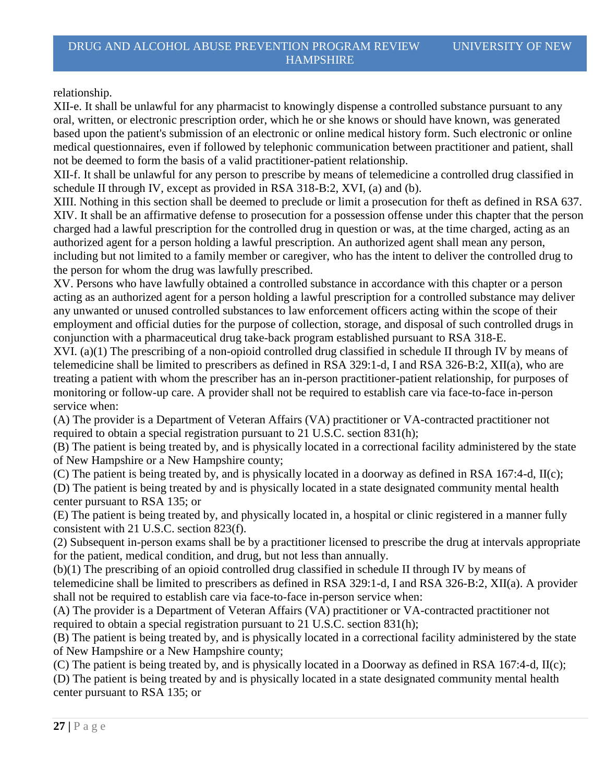relationship.

XII-e. It shall be unlawful for any pharmacist to knowingly dispense a controlled substance pursuant to any oral, written, or electronic prescription order, which he or she knows or should have known, was generated based upon the patient's submission of an electronic or online medical history form. Such electronic or online medical questionnaires, even if followed by telephonic communication between practitioner and patient, shall not be deemed to form the basis of a valid practitioner-patient relationship.

XII-f. It shall be unlawful for any person to prescribe by means of telemedicine a controlled drug classified in schedule II through IV, except as provided in RSA 318-B:2, XVI, (a) and (b).

XIII. Nothing in this section shall be deemed to preclude or limit a prosecution for theft as defined in RSA 637. XIV. It shall be an affirmative defense to prosecution for a possession offense under this chapter that the person charged had a lawful prescription for the controlled drug in question or was, at the time charged, acting as an authorized agent for a person holding a lawful prescription. An authorized agent shall mean any person, including but not limited to a family member or caregiver, who has the intent to deliver the controlled drug to the person for whom the drug was lawfully prescribed.

XV. Persons who have lawfully obtained a controlled substance in accordance with this chapter or a person acting as an authorized agent for a person holding a lawful prescription for a controlled substance may deliver any unwanted or unused controlled substances to law enforcement officers acting within the scope of their employment and official duties for the purpose of collection, storage, and disposal of such controlled drugs in conjunction with a pharmaceutical drug take-back program established pursuant to RSA 318-E.

XVI. (a)(1) The prescribing of a non-opioid controlled drug classified in schedule II through IV by means of telemedicine shall be limited to prescribers as defined in RSA 329:1-d, I and RSA 326-B:2, XII(a), who are treating a patient with whom the prescriber has an in-person practitioner-patient relationship, for purposes of monitoring or follow-up care. A provider shall not be required to establish care via face-to-face in-person service when:

(A) The provider is a Department of Veteran Affairs (VA) practitioner or VA-contracted practitioner not required to obtain a special registration pursuant to 21 U.S.C. section 831(h);

(B) The patient is being treated by, and is physically located in a correctional facility administered by the state of New Hampshire or a New Hampshire county;

(C) The patient is being treated by, and is physically located in a doorway as defined in RSA 167:4-d, II(c); (D) The patient is being treated by and is physically located in a state designated community mental health center pursuant to RSA 135; or

(E) The patient is being treated by, and physically located in, a hospital or clinic registered in a manner fully consistent with 21 U.S.C. section 823(f).

(2) Subsequent in-person exams shall be by a practitioner licensed to prescribe the drug at intervals appropriate for the patient, medical condition, and drug, but not less than annually.

(b)(1) The prescribing of an opioid controlled drug classified in schedule II through IV by means of telemedicine shall be limited to prescribers as defined in RSA 329:1-d, I and RSA 326-B:2, XII(a). A provider shall not be required to establish care via face-to-face in-person service when:

(A) The provider is a Department of Veteran Affairs (VA) practitioner or VA-contracted practitioner not required to obtain a special registration pursuant to 21 U.S.C. section 831(h);

(B) The patient is being treated by, and is physically located in a correctional facility administered by the state of New Hampshire or a New Hampshire county;

(C) The patient is being treated by, and is physically located in a Doorway as defined in RSA 167:4-d, II(c);

(D) The patient is being treated by and is physically located in a state designated community mental health center pursuant to RSA 135; or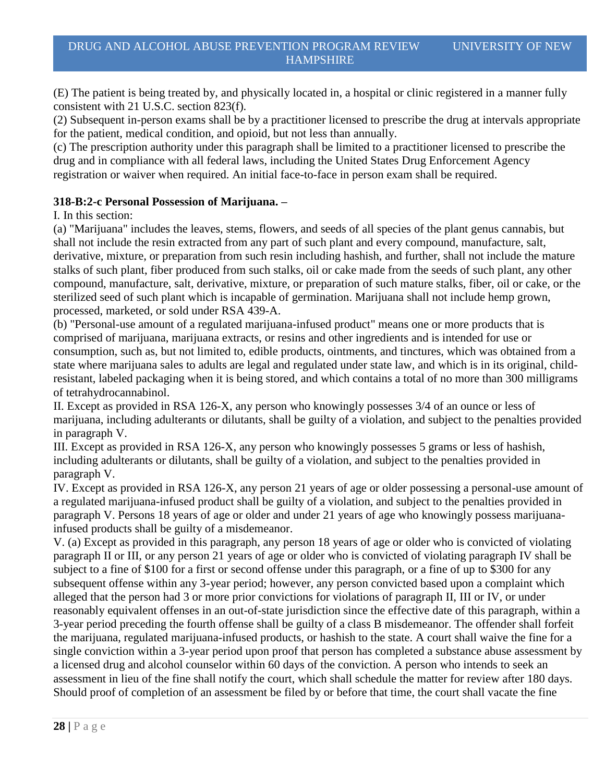(E) The patient is being treated by, and physically located in, a hospital or clinic registered in a manner fully consistent with 21 U.S.C. section 823(f).

(2) Subsequent in-person exams shall be by a practitioner licensed to prescribe the drug at intervals appropriate for the patient, medical condition, and opioid, but not less than annually.

(c) The prescription authority under this paragraph shall be limited to a practitioner licensed to prescribe the drug and in compliance with all federal laws, including the United States Drug Enforcement Agency registration or waiver when required. An initial face-to-face in person exam shall be required.

### **318-B:2-c Personal Possession of Marijuana. –**

I. In this section:

(a) "Marijuana" includes the leaves, stems, flowers, and seeds of all species of the plant genus cannabis, but shall not include the resin extracted from any part of such plant and every compound, manufacture, salt, derivative, mixture, or preparation from such resin including hashish, and further, shall not include the mature stalks of such plant, fiber produced from such stalks, oil or cake made from the seeds of such plant, any other compound, manufacture, salt, derivative, mixture, or preparation of such mature stalks, fiber, oil or cake, or the sterilized seed of such plant which is incapable of germination. Marijuana shall not include hemp grown, processed, marketed, or sold under RSA 439-A.

(b) "Personal-use amount of a regulated marijuana-infused product" means one or more products that is comprised of marijuana, marijuana extracts, or resins and other ingredients and is intended for use or consumption, such as, but not limited to, edible products, ointments, and tinctures, which was obtained from a state where marijuana sales to adults are legal and regulated under state law, and which is in its original, childresistant, labeled packaging when it is being stored, and which contains a total of no more than 300 milligrams of tetrahydrocannabinol.

II. Except as provided in RSA 126-X, any person who knowingly possesses 3/4 of an ounce or less of marijuana, including adulterants or dilutants, shall be guilty of a violation, and subject to the penalties provided in paragraph V.

III. Except as provided in RSA 126-X, any person who knowingly possesses 5 grams or less of hashish, including adulterants or dilutants, shall be guilty of a violation, and subject to the penalties provided in paragraph V.

IV. Except as provided in RSA 126-X, any person 21 years of age or older possessing a personal-use amount of a regulated marijuana-infused product shall be guilty of a violation, and subject to the penalties provided in paragraph V. Persons 18 years of age or older and under 21 years of age who knowingly possess marijuanainfused products shall be guilty of a misdemeanor.

V. (a) Except as provided in this paragraph, any person 18 years of age or older who is convicted of violating paragraph II or III, or any person 21 years of age or older who is convicted of violating paragraph IV shall be subject to a fine of \$100 for a first or second offense under this paragraph, or a fine of up to \$300 for any subsequent offense within any 3-year period; however, any person convicted based upon a complaint which alleged that the person had 3 or more prior convictions for violations of paragraph II, III or IV, or under reasonably equivalent offenses in an out-of-state jurisdiction since the effective date of this paragraph, within a 3-year period preceding the fourth offense shall be guilty of a class B misdemeanor. The offender shall forfeit the marijuana, regulated marijuana-infused products, or hashish to the state. A court shall waive the fine for a single conviction within a 3-year period upon proof that person has completed a substance abuse assessment by a licensed drug and alcohol counselor within 60 days of the conviction. A person who intends to seek an assessment in lieu of the fine shall notify the court, which shall schedule the matter for review after 180 days. Should proof of completion of an assessment be filed by or before that time, the court shall vacate the fine